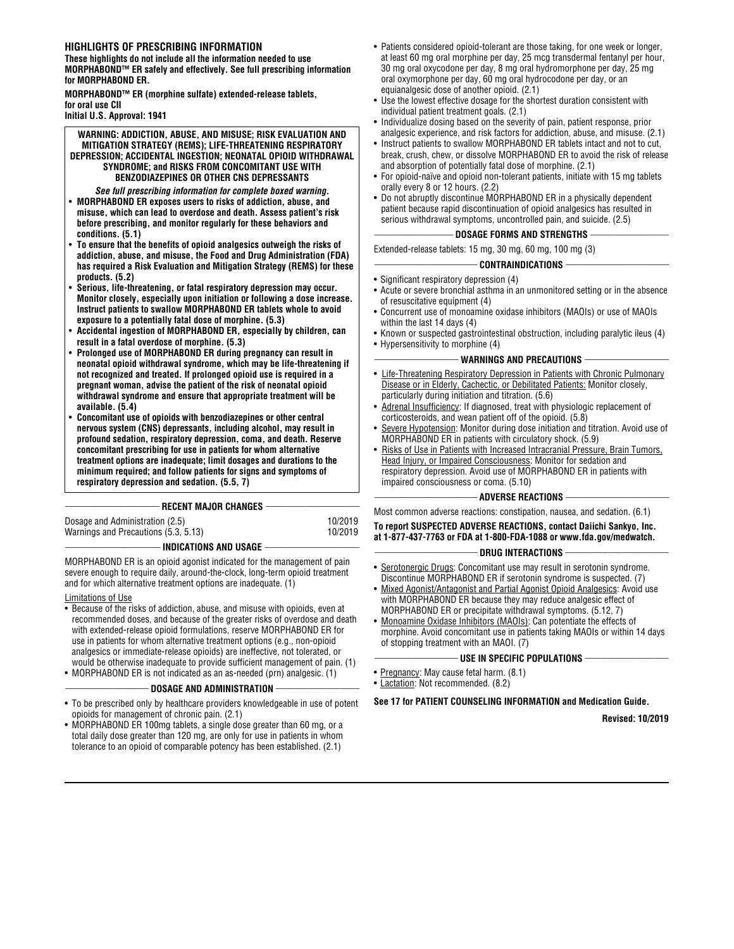#### **HIGHLIGHTS OF PRESCRIBING INFORMATION**

**These highlights do not include all the information needed to use MORPHABOND™ ER safely and effectively. See full prescribing information for MORPHABOND ER.** 

**MORPHABOND™ ER (morphine sulfate) extended-release tablets, for oral use CII** 

**Initial U.S. Approval: 1941** 

#### **WARNING: ADDICTION, ABUSE, AND MISUSE; RISK EVALUATION AND MITIGATION STRATEGY (REMS); LIFE -THREATENING RESPIRATORY DEPRESSION; ACCIDENTAL INGESTION; NEONATAL OPIOID WITHDRAWAL SYNDROME; and RISKS FROM CONCOMITANT USE WITH BENZODIAZEPINES OR OTHER CNS DEPRESSANTS**

**See full prescribing information for complete boxed warning.**  *•* **MORPHABOND ER exposes users to risks of addiction, abuse, and misuse, which can lead to overdose and death. Assess patient's risk before prescribing, and monitor regularly for these behaviors and conditions. (5.1)** 

- *•* **To ensure that the benefits of opioid analgesics outweigh the risks of addiction, abuse, and misuse, the Food and Drug Administration (FDA) has required a Risk Evaluation and Mitigation Strategy (REMS) for these products. (5.2)**
- *•* **Serious, life-threatening, or fatal respiratory depression may occur. Monitor closely, especially upon initiation or following a dose increase. Instruct patients to swallow MORPHABOND ER tablets whole to avoid exposure to a potentially fatal dose of morphine. (5.3)**
- *•* **Accidental ingestion of MORPHABOND ER, especially by children, can result in a fatal overdose of morphine. (5.3)**
- *•* **Prolonged use of MORPHABOND ER during pregnancy can result in neonatal opioid withdrawal syndrome, which may be life-threatening if not recognized and treated. If prolonged opioid use is required in a pregnant woman, advise the patient of the risk of neonatal opioid withdrawal syndrome and ensure that appropriate treatment will be available. (5.4)**
- *•* **Concomitant use of opioids with benzodiazepines or other central nervous system (CNS) depressants, including alcohol, may result in profound sedation, respiratory depression, coma, and death. Reserve concomitant prescribing for use in patients for whom alternative treatment options are inadequate; limit dosages and durations to the minimum required; and follow patients for signs and symptoms of respiratory depression and sedation. (5.5, 7)**

#### RECENT MAJOR CHANGES

| Dosage and Administration (2.5)      | 10/2019 |
|--------------------------------------|---------|
| Warnings and Precautions (5.3, 5.13) | 10/2019 |

### **\_\_\_\_\_\_\_\_\_\_\_\_\_\_\_\_\_\_\_\_\_\_ INDICATIONS AND USAGE \_\_\_\_\_\_\_\_\_\_\_\_\_\_\_\_\_\_\_\_\_**

*MORPHABOND ER is an opioid agonist indicated for the management of pain severe enough to require daily, around-the-clock, long-term opioid treatment and for which alternative treatment options are inadequate. (1)* 

- *Limitations of Use*
- *Because of the risks of addiction, abuse, and misuse with opioids, even at recommended doses, and because of the greater risks of overdose and death with extended-release opioid formulations, reserve MORPHABOND ER for use in patients for whom alternative treatment options (e.g., non-opioid analgesics or immediate-release opioids) are ineffective, not tolerated, or would be otherwise inadequate to provide sufficient management of pain. (1) • MORPHABOND ER is not indicated as an as-needed (prn) analgesic. (1)*

#### **\_\_\_\_\_\_\_\_\_\_\_\_\_\_\_\_\_\_\_ DOSAGE AND ADMINISTRATION \_\_\_\_\_\_\_\_\_\_\_\_\_\_\_\_\_\_**

- *To be prescribed only by healthcare providers knowledgeable in use of potent opioids for management of chronic pain. (2.1)*
- *MORPHABOND ER 100mg tablets, a single dose greater than 60 mg, or a total daily dose greater than 120 mg, are only for use in patients in whom tolerance to an opioid of comparable potency has been established. (2.1)*
- *Patients considered opioid-tolerant are those taking, for one week or longer, at least 60 mg oral morphine per day, 25 mcg transdermal fentanyl per hour, 30 mg oral oxycodone per day, 8 mg oral hydromorphone per day, 25 mg oral oxymorphone per day, 60 mg oral hydrocodone per day, or an equianalgesic dose of another opioid. (2.1)*
- *Use the lowest effective dosage for the shortest duration consistent with individual patient treatment goals. (2.1)*
- *Individualize dosing based on the severity of pain, patient response, prior analgesic experience, and risk factors for addiction, abuse, and misuse. (2.1)*
- *Instruct patients to swallow MORPHABOND ER tablets intact and not to cut, break, crush, chew, or dissolve MORPHABOND ER to avoid the risk of release and absorption of potentially fatal dose of morphine. (2.1)*
- *For opioid-naïve and opioid non-tolerant patients, initiate with 15 mg tablets orally every 8 or 12 hours. (2.2)*
- Do not abruptly discontinue MORPHABOND ER in a physically dependent *patient because rapid discontinuation of opioid analgesics has resulted in serious withdrawal symptoms, uncontrolled pain, and suicide. (2.5)*

#### DOSAGE FORMS AND STRENGTHS

*Extended-release tablets: 15 mg, 30 mg, 60 mg, 100 mg (3)* 

#### **\_\_\_\_\_\_\_\_\_\_\_\_\_\_\_\_\_\_\_\_\_\_\_ CONTRAINDICATIONS \_\_\_\_\_\_\_\_\_\_\_\_\_\_\_\_\_\_\_\_\_\_\_**

- *Significant respiratory depression (4)*
- *Acute or severe bronchial asthma in an unmonitored setting or in the absence of resuscitative equipment (4)*
- *Concurrent use of monoamine oxidase inhibitors (MAOIs) or use of MAOIs within the last 14 days (4)*
- *Known or suspected gastrointestinal obstruction, including paralytic ileus (4)*
- *Hypersensitivity to morphine (4)*

#### **WARNINGS AND PRECAUTIONS**

- *Life-Threatening Respiratory Depression in Patients with Chronic Pulmonary Disease or in Elderly, Cachectic, or Debilitated Patients: Monitor closely, particularly during initiation and titration. (5.6)*
- *Adrenal Insufficiency: If diagnosed, treat with physiologic replacement of corticosteroids, and wean patient off of the opioid. (5.8)*
- *Severe Hypotension: Monitor during dose initiation and titration. Avoid use of MORPHABOND ER in patients with circulatory shock. (5.9)*
- *Risks of Use in Patients with Increased Intracranial Pressure, Brain Tumors, Head Injury, or Impaired Consciousness: Monitor for sedation and respiratory depression. Avoid use of MORPHABOND ER in patients with impaired consciousness or coma. (5.10)*

#### **\_\_\_\_\_\_\_\_\_\_\_\_\_\_\_\_\_\_\_\_\_\_\_\_ ADVERSE REACTIONS \_\_\_\_\_\_\_\_\_\_\_\_\_\_\_\_\_\_\_\_\_\_\_**

*Most common adverse reactions: constipation, nausea, and sedation. (6.1)* 

**To report SUSPECTED ADVERSE REACTIONS, contact Daiichi Sankyo, Inc. at 1-877-437-7763 or FDA at 1-800-FDA-1088 or www.fda.gov/medwatch.**

#### DRUG INTERACTIONS

- *Serotonergic Drugs: Concomitant use may result in serotonin syndrome. Discontinue MORPHABOND ER if serotonin syndrome is suspected. (7)*
- *Mixed Agonist/Antagonist and Partial Agonist Opioid Analgesics: Avoid use with MORPHABOND ER because they may reduce analgesic effect of MORPHABOND ER or precipitate withdrawal symptoms. (5.12, 7)*
- *Monoamine Oxidase Inhibitors (MAOIs): Can potentiate the effects of morphine. Avoid concomitant use in patients taking MAOIs or within 14 days of stopping treatment with an MAOI. (7)*

#### **USE IN SPECIFIC POPULATIONS**

- *Pregnancy: May cause fetal harm. (8.1)*
- *Lactation: Not recommended. (8.2)*
- 

**See 17 for PATIENT COUNSELING INFORMATION and Medication Guide.** 

**Revised: 10/2019**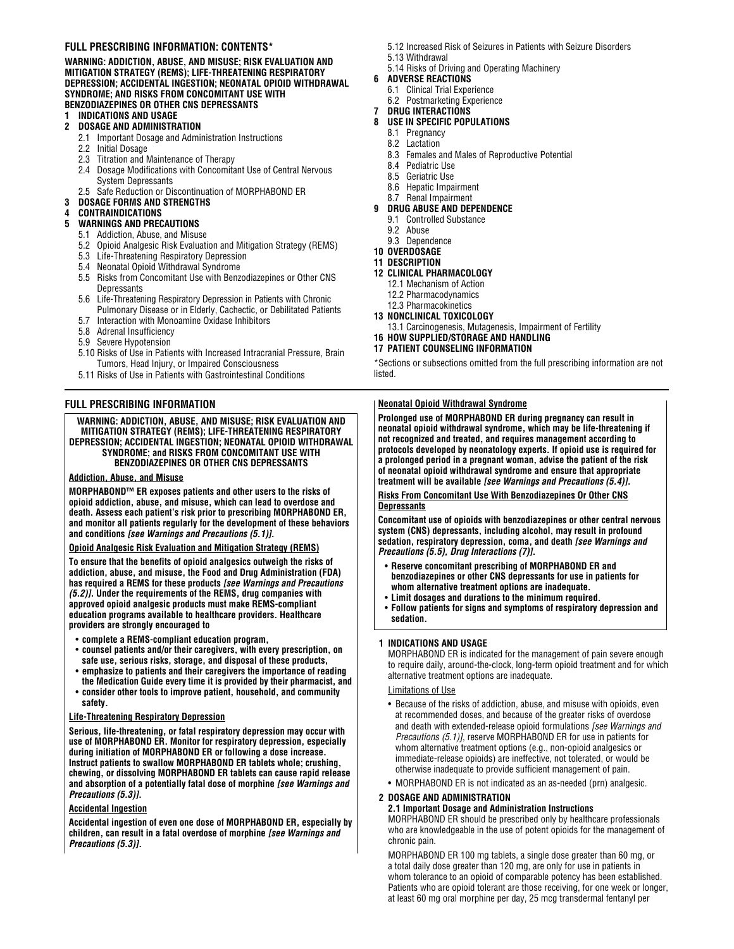#### **FULL PRESCRIBING INFORMATION: CONTENTS\***

#### **WARNING: ADDICTION, ABUSE, AND MISUSE; RISK EVALUATION AND MITIGATION STRATEGY (REMS); LIFE-THREATENING RESPIRATORY DEPRESSION; ACCIDENTAL INGESTION; NEONATAL OPIOID WITHDRAWAL SYNDROME; AND RISKS FROM CONCOMITANT USE WITH BENZODIAZEPINES OR OTHER CNS DEPRESSANTS**

# **1 INDICATIONS AND USAGE**

### **2 DOSAGE AND ADMINISTRATION**

- *2.1 Important Dosage and Administration Instructions*
- *2.2 Initial Dosage*
- *2.3 Titration and Maintenance of Therapy*
- *2.4 Dosage Modifications with Concomitant Use of Central Nervous System Depressants*
- *2.5 Safe Reduction or Discontinuation of MORPHABOND ER*

### **3 DOSAGE FORMS AND STRENGTHS**

# **4 CONTRAINDICATIONS**

- **5 WARNINGS AND PRECAUTIONS**
- *5.1 Addiction, Abuse, and Misuse*
- *5.2 Opioid Analgesic Risk Evaluation and Mitigation Strategy (REMS)*
- *5.3 Life-Threatening Respiratory Depression*
- *5.4 Neonatal Opioid Withdrawal Syndrome*
- *5.5 Risks from Concomitant Use with Benzodiazepines or Other CNS Depressants*
- *5.6 Life-Threatening Respiratory Depression in Patients with Chronic Pulmonary Disease or in Elderly, Cachectic, or Debilitated Patients*
- *5.7 Interaction with Monoamine Oxidase Inhibitors*
- *5.8 Adrenal Insufficiency*
- *5.9 Severe Hypotension*
- *5.10 Risks of Use in Patients with Increased Intracranial Pressure, Brain Tumors, Head Injury, or Impaired Consciousness*
- *5.11 Risks of Use in Patients with Gastrointestinal Conditions*

### **FULL PRESCRIBING INFORMATION**

#### **WARNING: ADDICTION, ABUSE, AND MISUSE; RISK EVALUATION AND MITIGATION STRATEGY (REMS); LIFE-THREATENING RESPIRATORY DEPRESSION; ACCIDENTAL INGESTION; NEONATAL OPIOID WITHDRAWAL SYNDROME; and RISKS FROM CONCOMITANT USE WITH BENZODIAZEPINES OR OTHER CNS DEPRESSANTS**

### **Addiction, Abuse, and Misuse**

**MORPHABOND™ ER exposes patients and other users to the risks of opioid addiction, abuse, and misuse, which can lead to overdose and death. Assess each patient's risk prior to prescribing MORPHABOND ER, and monitor all patients regularly for the development of these behaviors and conditions [see Warnings and Precautions (5.1)].** 

### **Opioid Analgesic Risk Evaluation and Mitigation Strategy (REMS)**

**To ensure that the benefits of opioid analgesics outweigh the risks of addiction, abuse, and misuse, the Food and Drug Administration (FDA) has required a REMS for these products [see Warnings and Precautions (5.2)]. Under the requirements of the REMS, drug companies with approved opioid analgesic products must make REMS-compliant education programs available to healthcare providers. Healthcare providers are strongly encouraged to** 

- *•* **complete a REMS-compliant education program,**
- *•* **counsel patients and/or their caregivers, with every prescription, on safe use, serious risks, storage, and disposal of these products,**
- *•* **emphasize to patients and their caregivers the importance of reading the Medication Guide every time it is provided by their pharmacist, and**
- *•* **consider other tools to improve patient, household, and community safety.**

### **Life-Threatening Respiratory Depression**

**Serious, life-threatening, or fatal respiratory depression may occur with use of MORPHABOND ER. Monitor for respiratory depression, especially during initiation of MORPHABOND ER or following a dose increase. Instruct patients to swallow MORPHABOND ER tablets whole; crushing, chewing, or dissolving MORPHABOND ER tablets can cause rapid release and absorption of a potentially fatal dose of morphine [see Warnings and Precautions (5.3)].** 

### **Accidental Ingestion**

**Accidental ingestion of even one dose of MORPHABOND ER, especially by children, can result in a fatal overdose of morphine [see Warnings and Precautions (5.3)].**

- *5.12 Increased Risk of Seizures in Patients with Seizure Disorders*
- *5.13 Withdrawal 5.14 Risks of Driving and Operating Machinery*
- **6 ADVERSE REACTIONS**
- *6.1 Clinical Trial Experience* 
	- *6.2 Postmarketing Experience*
- **7 DRUG INTERACTIONS**

### **8 USE IN SPECIFIC POPULATIONS**

- *8.1 Pregnancy*
- *8.2 Lactation*
- *8.3 Females and Males of Reproductive Potential*
- *8.4 Pediatric Use*
- *8.5 Geriatric Use*
- *8.6 Hepatic Impairment*
- *8.7 Renal Impairment*  **9 DRUG ABUSE AND DEPENDENCE**

## *9.1 Controlled Substance*

- *9.2 Abuse*
- *9.3 Dependence*
- **10 OVERDOSAGE**
- **11 DESCRIPTION**
- **12 CLINICAL PHARMACOLOGY** 
	- *12.1 Mechanism of Action*
	- *12.2 Pharmacodynamics*
	- *12.3 Pharmacokinetics*
- **13 NONCLINICAL TOXICOLOGY**
- *13.1 Carcinogenesis, Mutagenesis, Impairment of Fertility*
- **16 HOW SUPPLIED/STORAGE AND HANDLING**
- **17 PATIENT COUNSELING INFORMATION**

*\*Sections or subsections omitted from the full prescribing information are not listed.* 

### **Neonatal Opioid Withdrawal Syndrome**

**Prolonged use of MORPHABOND ER during pregnancy can result in neonatal opioid withdrawal syndrome, which may be life-threatening if not recognized and treated, and requires management according to protocols developed by neonatology experts. If opioid use is required for a prolonged period in a pregnant woman, advise the patient of the risk of neonatal opioid withdrawal syndrome and ensure that appropriate treatment will be available [see Warnings and Precautions (5.4)].** 

#### **Risks From Concomitant Use With Benzodiazepines Or Other CNS Depressants**

**Concomitant use of opioids with benzodiazepines or other central nervous system (CNS) depressants, including alcohol, may result in profound sedation, respiratory depression, coma, and death [see Warnings and Precautions (5.5), Drug Interactions (7)].** 

- *•* **Reserve concomitant prescribing of MORPHABOND ER and benzodiazepines or other CNS depressants for use in patients for whom alternative treatment options are inadequate.**
- *•* **Limit dosages and durations to the minimum required.**
- *•* **Follow patients for signs and symptoms of respiratory depression and sedation.**

### **1 INDICATIONS AND USAGE**

*MORPHABOND ER is indicated for the management of pain severe enough to require daily, around-the-clock, long-term opioid treatment and for which alternative treatment options are inadequate.* 

### *Limitations of Use*

- *Because of the risks of addiction, abuse, and misuse with opioids, even at recommended doses, and because of the greater risks of overdose and death with extended-release opioid formulations [see Warnings and Precautions (5.1)], reserve MORPHABOND ER for use in patients for whom alternative treatment options (e.g., non-opioid analgesics or immediate-release opioids) are ineffective, not tolerated, or would be otherwise inadequate to provide sufficient management of pain.*
- *MORPHABOND ER is not indicated as an as-needed (prn) analgesic.*

### **2 DOSAGE AND ADMINISTRATION**

### **2.1 Important Dosage and Administration Instructions**

*MORPHABOND ER should be prescribed only by healthcare professionals who are knowledgeable in the use of potent opioids for the management of chronic pain.* 

*MORPHABOND ER 100 mg tablets, a single dose greater than 60 mg, or a total daily dose greater than 120 mg, are only for use in patients in whom tolerance to an opioid of comparable potency has been established. Patients who are opioid tolerant are those receiving, for one week or longer, at least 60 mg oral morphine per day, 25 mcg transdermal fentanyl per*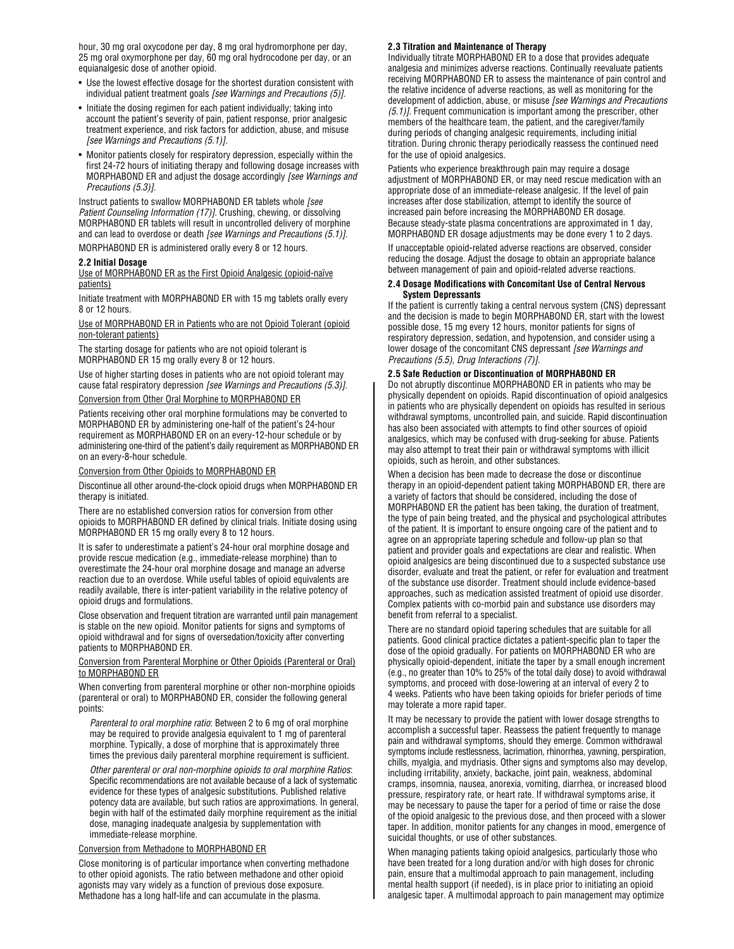*hour, 30 mg oral oxycodone per day, 8 mg oral hydromorphone per day, 25 mg oral oxymorphone per day, 60 mg oral hydrocodone per day, or an equianalgesic dose of another opioid.* 

- *Use the lowest effective dosage for the shortest duration consistent with individual patient treatment goals [see Warnings and Precautions (5)].*
- *Initiate the dosing regimen for each patient individually; taking into account the patient's severity of pain, patient response, prior analgesic treatment experience, and risk factors for addiction, abuse, and misuse [see Warnings and Precautions (5.1)].*
- *Monitor patients closely for respiratory depression, especially within the first 24-72 hours of initiating therapy and following dosage increases with MORPHABOND ER and adjust the dosage accordingly [see Warnings and Precautions (5.3)].*

Instruct patients to swallow MORPHABOND ER tablets whole [see *Patient Counseling Information (17)]. Crushing, chewing, or dissolving MORPHABOND ER tablets will result in uncontrolled delivery of morphine and can lead to overdose or death [see Warnings and Precautions (5.1)].* 

*MORPHABOND ER is administered orally every 8 or 12 hours.* 

#### **2.2 Initial Dosage**

*Use of MORPHABOND ER as the First Opioid Analgesic (opioid-naïve patients)* 

*Initiate treatment with MORPHABOND ER with 15 mg tablets orally every 8 or 12 hours.* 

*Use of MORPHABOND ER in Patients who are not Opioid Tolerant (opioid non-tolerant patients)*

*The starting dosage for patients who are not opioid tolerant is MORPHABOND ER 15 mg orally every 8 or 12 hours.* 

*Use of higher starting doses in patients who are not opioid tolerant may cause fatal respiratory depression [see Warnings and Precautions (5.3)].* 

*Conversion from Other Oral Morphine to MORPHABOND ER*

*Patients receiving other oral morphine formulations may be converted to MORPHABOND ER by administering one-half of the patient's 24-hour requirement as MORPHABOND ER on an every-12-hour schedule or by administering one-third of the patient's daily requirement as MORPHABOND ER on an every-8-hour schedule.* 

#### *Conversion from Other Opioids to MORPHABOND ER*

*Discontinue all other around-the-clock opioid drugs when MORPHABOND ER therapy is initiated.* 

*There are no established conversion ratios for conversion from other opioids to MORPHABOND ER defined by clinical trials. Initiate dosing using MORPHABOND ER 15 mg orally every 8 to 12 hours.* 

*It is safer to underestimate a patient's 24-hour oral morphine dosage and provide rescue medication (e.g., immediate-release morphine) than to overestimate the 24-hour oral morphine dosage and manage an adverse reaction due to an overdose. While useful tables of opioid equivalents are readily available, there is inter-patient variability in the relative potency of opioid drugs and formulations.* 

*Close observation and frequent titration are warranted until pain management is stable on the new opioid. Monitor patients for signs and symptoms of opioid withdrawal and for signs of oversedation/toxicity after converting patients to MORPHABOND ER.* 

#### *Conversion from Parenteral Morphine or Other Opioids (Parenteral or Oral) to MORPHABOND ER*

*When converting from parenteral morphine or other non-morphine opioids (parenteral or oral) to MORPHABOND ER, consider the following general points:* 

 *Parenteral to oral morphine ratio: Between 2 to 6 mg of oral morphine may be required to provide analgesia equivalent to 1 mg of parenteral morphine. Typically, a dose of morphine that is approximately three times the previous daily parenteral morphine requirement is sufficient.* 

 *Other parenteral or oral non-morphine opioids to oral morphine Ratios: Specific recommendations are not available because of a lack of systematic evidence for these types of analgesic substitutions. Published relative potency data are available, but such ratios are approximations. In general, begin with half of the estimated daily morphine requirement as the initial dose, managing inadequate analgesia by supplementation with immediate-release morphine.* 

#### *Conversion from Methadone to MORPHABOND ER*

*Close monitoring is of particular importance when converting methadone to other opioid agonists. The ratio between methadone and other opioid agonists may vary widely as a function of previous dose exposure. Methadone has a long half-life and can accumulate in the plasma.* 

#### **2.3 Titration and Maintenance of Therapy**

*Individually titrate MORPHABOND ER to a dose that provides adequate analgesia and minimizes adverse reactions. Continually reevaluate patients receiving MORPHABOND ER to assess the maintenance of pain control and the relative incidence of adverse reactions, as well as monitoring for the development of addiction, abuse, or misuse [see Warnings and Precautions (5.1)]. Frequent communication is important among the prescriber, other members of the healthcare team, the patient, and the caregiver/family during periods of changing analgesic requirements, including initial titration. During chronic therapy periodically reassess the continued need for the use of opioid analgesics.* 

*Patients who experience breakthrough pain may require a dosage adjustment of MORPHABOND ER, or may need rescue medication with an appropriate dose of an immediate-release analgesic. If the level of pain increases after dose stabilization, attempt to identify the source of increased pain before increasing the MORPHABOND ER dosage. Because steady-state plasma concentrations are approximated in 1 day, MORPHABOND ER dosage adjustments may be done every 1 to 2 days.* 

*If unacceptable opioid-related adverse reactions are observed, consider reducing the dosage. Adjust the dosage to obtain an appropriate balance between management of pain and opioid-related adverse reactions.* 

#### **2.4 Dosage Modifications with Concomitant Use of Central Nervous System Depressants**

*If the patient is currently taking a central nervous system (CNS) depressant and the decision is made to begin MORPHABOND ER, start with the lowest possible dose, 15 mg every 12 hours, monitor patients for signs of respiratory depression, sedation, and hypotension, and consider using a lower dosage of the concomitant CNS depressant [see Warnings and Precautions (5.5), Drug Interactions (7)].* 

#### **2.5 Safe Reduction or Discontinuation of MORPHABOND ER**

*Do not abruptly discontinue MORPHABOND ER in patients who may be physically dependent on opioids. Rapid discontinuation of opioid analgesics in patients who are physically dependent on opioids has resulted in serious withdrawal symptoms, uncontrolled pain, and suicide. Rapid discontinuation has also been associated with attempts to find other sources of opioid analgesics, which may be confused with drug-seeking for abuse. Patients may also attempt to treat their pain or withdrawal symptoms with illicit opioids, such as heroin, and other substances.* 

*When a decision has been made to decrease the dose or discontinue therapy in an opioid-dependent patient taking MORPHABOND ER, there are a variety of factors that should be considered, including the dose of MORPHABOND ER the patient has been taking, the duration of treatment, the type of pain being treated, and the physical and psychological attributes of the patient. It is important to ensure ongoing care of the patient and to agree on an appropriate tapering schedule and follow-up plan so that patient and provider goals and expectations are clear and realistic. When opioid analgesics are being discontinued due to a suspected substance use disorder, evaluate and treat the patient, or refer for evaluation and treatment of the substance use disorder. Treatment should include evidence-based approaches, such as medication assisted treatment of opioid use disorder. Complex patients with co-morbid pain and substance use disorders may benefit from referral to a specialist.* 

There are no standard opioid tapering schedules that are suitable for all *patients. Good clinical practice dictates a patient-specific plan to taper the dose of the opioid gradually. For patients on MORPHABOND ER who are physically opioid-dependent, initiate the taper by a small enough increment (e.g., no greater than 10% to 25% of the total daily dose) to avoid withdrawal symptoms, and proceed with dose-lowering at an interval of every 2 to 4 weeks. Patients who have been taking opioids for briefer periods of time may tolerate a more rapid taper.* 

*It may be necessary to provide the patient with lower dosage strengths to accomplish a successful taper. Reassess the patient frequently to manage*  pain and withdrawal symptoms, should they emerge. Common withdrawal *symptoms include restlessness, lacrimation, rhinorrhea, yawning, perspiration, chills, myalgia, and mydriasis. Other signs and symptoms also may develop, including irritability, anxiety, backache, joint pain, weakness, abdominal cramps, insomnia, nausea, anorexia, vomiting, diarrhea, or increased blood pressure, respiratory rate, or heart rate. If withdrawal symptoms arise, it may be necessary to pause the taper for a period of time or raise the dose of the opioid analgesic to the previous dose, and then proceed with a slower taper. In addition, monitor patients for any changes in mood, emergence of suicidal thoughts, or use of other substances.* 

*When managing patients taking opioid analgesics, particularly those who have been treated for a long duration and/or with high doses for chronic pain, ensure that a multimodal approach to pain management, including mental health support (if needed), is in place prior to initiating an opioid analgesic taper. A multimodal approach to pain management may optimize*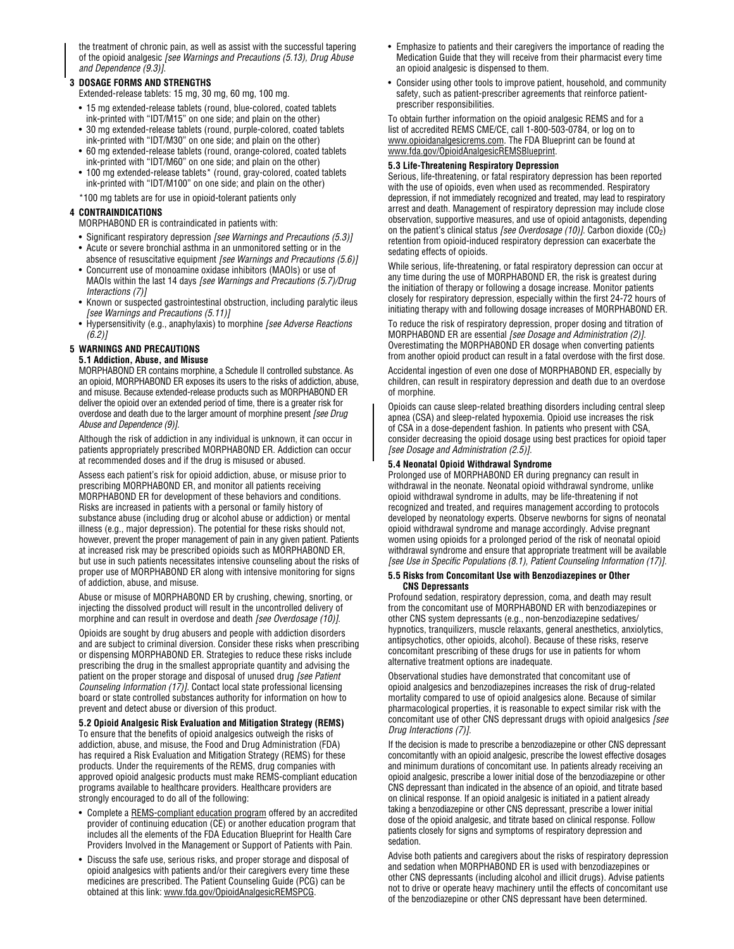*the treatment of chronic pain, as well as assist with the successful tapering of the opioid analgesic [see Warnings and Precautions (5.13), Drug Abuse and Dependence (9.3)].* 

#### **3 DOSAGE FORMS AND STRENGTHS**

*Extended-release tablets: 15 mg, 30 mg, 60 mg, 100 mg.* 

- *15 mg extended-release tablets (round, blue-colored, coated tablets*  ink-printed with "IDT/M15" on one side; and plain on the other)
- *30 mg extended-release tablets (round, purple-colored, coated tablets*  ink-printed with "IDT/M30" on one side; and plain on the other)
- *60 mg extended-release tablets (round, orange-colored, coated tablets*  ink-printed with "IDT/M60" on one side; and plain on the other)
- *100 mg extended-release tablets\* (round, gray-colored, coated tablets*  ink-printed with "IDT/M100" on one side; and plain on the other)
- *\*100 mg tablets are for use in opioid-tolerant patients only*

### **4 CONTRAINDICATIONS**

*MORPHABOND ER is contraindicated in patients with:* 

- *Significant respiratory depression [see Warnings and Precautions (5.3)]*
- *Acute or severe bronchial asthma in an unmonitored setting or in the*
- *absence of resuscitative equipment [see Warnings and Precautions (5.6)] • Concurrent use of monoamine oxidase inhibitors (MAOIs) or use of*
- *MAOIs within the last 14 days [see Warnings and Precautions (5.7)/Drug Interactions (7)]*
- *Known or suspected gastrointestinal obstruction, including paralytic ileus [see Warnings and Precautions (5.11)]*
- *Hypersensitivity (e.g., anaphylaxis) to morphine [see Adverse Reactions (6.2)]*

#### **5 WARNINGS AND PRECAUTIONS**

#### **5.1 Addiction, Abuse, and Misuse**

*MORPHABOND ER contains morphine, a Schedule II controlled substance. As an opioid, MORPHABOND ER exposes its users to the risks of addiction, abuse, and misuse. Because extended-release products such as MORPHABOND ER deliver the opioid over an extended period of time, there is a greater risk for overdose and death due to the larger amount of morphine present [see Drug Abuse and Dependence (9)].* 

*Although the risk of addiction in any individual is unknown, it can occur in patients appropriately prescribed MORPHABOND ER. Addiction can occur at recommended doses and if the drug is misused or abused.* 

*Assess each patient's risk for opioid addiction, abuse, or misuse prior to prescribing MORPHABOND ER, and monitor all patients receiving MORPHABOND ER for development of these behaviors and conditions. Risks are increased in patients with a personal or family history of substance abuse (including drug or alcohol abuse or addiction) or mental illness (e.g., major depression). The potential for these risks should not, however, prevent the proper management of pain in any given patient. Patients at increased risk may be prescribed opioids such as MORPHABOND ER, but use in such patients necessitates intensive counseling about the risks of proper use of MORPHABOND ER along with intensive monitoring for signs of addiction, abuse, and misuse.* 

*Abuse or misuse of MORPHABOND ER by crushing, chewing, snorting, or injecting the dissolved product will result in the uncontrolled delivery of morphine and can result in overdose and death [see Overdosage (10)].* 

*Opioids are sought by drug abusers and people with addiction disorders and are subject to criminal diversion. Consider these risks when prescribing or dispensing MORPHABOND ER. Strategies to reduce these risks include prescribing the drug in the smallest appropriate quantity and advising the patient on the proper storage and disposal of unused drug [see Patient Counseling Information (17)]. Contact local state professional licensing board or state controlled substances authority for information on how to prevent and detect abuse or diversion of this product.* 

**5.2 Opioid Analgesic Risk Evaluation and Mitigation Strategy (REMS)**  *To ensure that the benefits of opioid analgesics outweigh the risks of addiction, abuse, and misuse, the Food and Drug Administration (FDA) has required a Risk Evaluation and Mitigation Strategy (REMS) for these products. Under the requirements of the REMS, drug companies with approved opioid analgesic products must make REMS-compliant education programs available to healthcare providers. Healthcare providers are strongly encouraged to do all of the following:* 

- *Complete a REMS-compliant education program offered by an accredited provider of continuing education (CE) or another education program that includes all the elements of the FDA Education Blueprint for Health Care Providers Involved in the Management or Support of Patients with Pain.*
- *Discuss the safe use, serious risks, and proper storage and disposal of opioid analgesics with patients and/or their caregivers every time these medicines are prescribed. The Patient Counseling Guide (PCG) can be obtained at this link: www.fda.gov/OpioidAnalgesicREMSPCG.*
- *Emphasize to patients and their caregivers the importance of reading the Medication Guide that they will receive from their pharmacist every time an opioid analgesic is dispensed to them.*
- *Consider using other tools to improve patient, household, and community safety, such as patient-prescriber agreements that reinforce patientprescriber responsibilities.*

*To obtain further information on the opioid analgesic REMS and for a list of accredited REMS CME/CE, call 1-800-503-0784, or log on to www.opioidanalgesicrems.com. The FDA Blueprint can be found at www.fda.gov/OpioidAnalgesicREMSBlueprint.* 

#### **5.3 Life-Threatening Respiratory Depression**

*Serious, life-threatening, or fatal respiratory depression has been reported*  with the use of opioids, even when used as recommended. Respiratory *depression, if not immediately recognized and treated, may lead to respiratory arrest and death. Management of respiratory depression may include close observation, supportive measures, and use of opioid antagonists, depending on the patient's clinical status [see Overdosage (10)]. Carbon dioxide (CO2) retention from opioid-induced respiratory depression can exacerbate the sedating effects of opioids.* 

*While serious, life-threatening, or fatal respiratory depression can occur at any time during the use of MORPHABOND ER, the risk is greatest during the initiation of therapy or following a dosage increase. Monitor patients closely for respiratory depression, especially within the first 24-72 hours of initiating therapy with and following dosage increases of MORPHABOND ER.* 

To reduce the risk of respiratory depression, proper dosing and titration of *MORPHABOND ER are essential [see Dosage and Administration (2)]. Overestimating the MORPHABOND ER dosage when converting patients from another opioid product can result in a fatal overdose with the first dose.* 

*Accidental ingestion of even one dose of MORPHABOND ER, especially by children, can result in respiratory depression and death due to an overdose of morphine.* 

*Opioids can cause sleep-related breathing disorders including central sleep apnea (CSA) and sleep-related hypoxemia. Opioid use increases the risk of CSA in a dose-dependent fashion. In patients who present with CSA, consider decreasing the opioid dosage using best practices for opioid taper [see Dosage and Administration (2.5)].* 

#### **5.4 Neonatal Opioid Withdrawal Syndrome**

*Prolonged use of MORPHABOND ER during pregnancy can result in withdrawal in the neonate. Neonatal opioid withdrawal syndrome, unlike opioid withdrawal syndrome in adults, may be life-threatening if not recognized and treated, and requires management according to protocols developed by neonatology experts. Observe newborns for signs of neonatal opioid withdrawal syndrome and manage accordingly. Advise pregnant women using opioids for a prolonged period of the risk of neonatal opioid withdrawal syndrome and ensure that appropriate treatment will be available [see Use in Specific Populations (8.1), Patient Counseling Information (17)].* 

#### **5.5 Risks from Concomitant Use with Benzodiazepines or Other CNS Depressants**

*Profound sedation, respiratory depression, coma, and death may result from the concomitant use of MORPHABOND ER with benzodiazepines or other CNS system depressants (e.g., non-benzodiazepine sedatives/ hypnotics, tranquilizers, muscle relaxants, general anesthetics, anxiolytics, antipsychotics, other opioids, alcohol). Because of these risks, reserve concomitant prescribing of these drugs for use in patients for whom alternative treatment options are inadequate.* 

*Observational studies have demonstrated that concomitant use of opioid analgesics and benzodiazepines increases the risk of drug-related mortality compared to use of opioid analgesics alone. Because of similar pharmacological properties, it is reasonable to expect similar risk with the concomitant use of other CNS depressant drugs with opioid analgesics [see Drug Interactions (7)].* 

*If the decision is made to prescribe a benzodiazepine or other CNS depressant concomitantly with an opioid analgesic, prescribe the lowest effective dosages and minimum durations of concomitant use. In patients already receiving an opioid analgesic, prescribe a lower initial dose of the benzodiazepine or other CNS depressant than indicated in the absence of an opioid, and titrate based on clinical response. If an opioid analgesic is initiated in a patient already taking a benzodiazepine or other CNS depressant, prescribe a lower initial dose of the opioid analgesic, and titrate based on clinical response. Follow patients closely for signs and symptoms of respiratory depression and sedation.* 

*Advise both patients and caregivers about the risks of respiratory depression and sedation when MORPHABOND ER is used with benzodiazepines or other CNS depressants (including alcohol and illicit drugs). Advise patients not to drive or operate heavy machinery until the effects of concomitant use of the benzodiazepine or other CNS depressant have been determined.*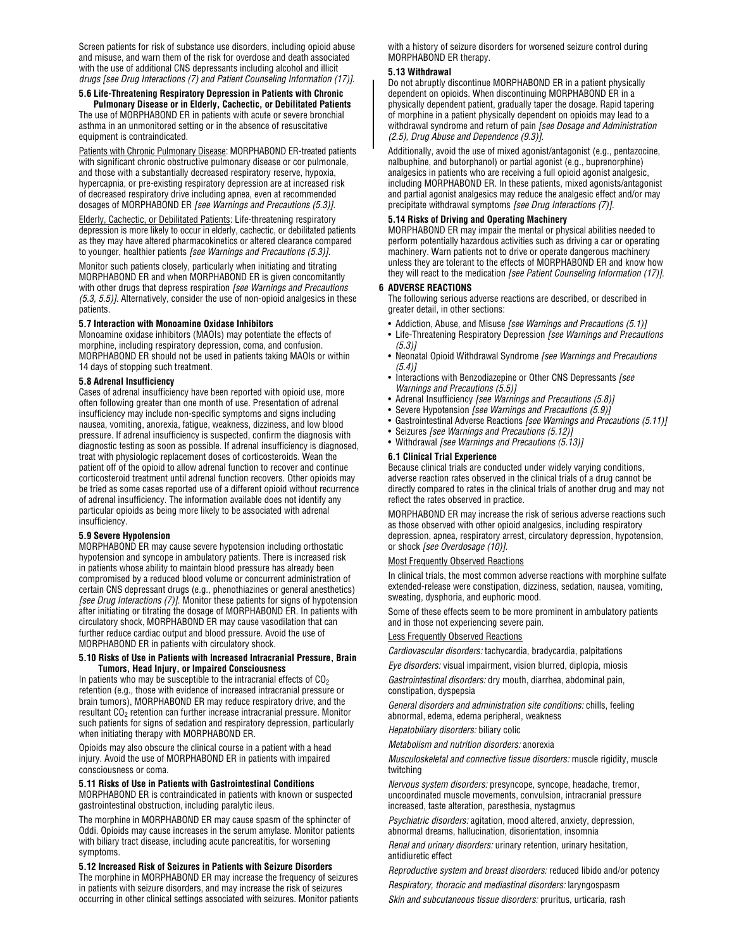*Screen patients for risk of substance use disorders, including opioid abuse and misuse, and warn them of the risk for overdose and death associated with the use of additional CNS depressants including alcohol and illicit drugs [see Drug Interactions (7) and Patient Counseling Information (17)]*.

### **5.6 Life-Threatening Respiratory Depression in Patients with Chronic**

**Pulmonary Disease or in Elderly, Cachectic, or Debilitated Patients**  *The use of MORPHABOND ER in patients with acute or severe bronchial asthma in an unmonitored setting or in the absence of resuscitative equipment is contraindicated.* 

*Patients with Chronic Pulmonary Disease: MORPHABOND ER-treated patients with significant chronic obstructive pulmonary disease or cor pulmonale, and those with a substantially decreased respiratory reserve, hypoxia, hypercapnia, or pre-existing respiratory depression are at increased risk of decreased respiratory drive including apnea, even at recommended dosages of MORPHABOND ER [see Warnings and Precautions (5.3)].* 

*Elderly, Cachectic, or Debilitated Patients: Life-threatening respiratory depression is more likely to occur in elderly, cachectic, or debilitated patients as they may have altered pharmacokinetics or altered clearance compared to younger, healthier patients [see Warnings and Precautions (5.3)].* 

*Monitor such patients closely, particularly when initiating and titrating MORPHABOND ER and when MORPHABOND ER is given concomitantly with other drugs that depress respiration [see Warnings and Precautions (5.3, 5.5)]. Alternatively, consider the use of non-opioid analgesics in these patients.* 

#### **5.7 Interaction with Monoamine Oxidase Inhibitors**

*Monoamine oxidase inhibitors (MAOIs) may potentiate the effects of morphine, including respiratory depression, coma, and confusion. MORPHABOND ER should not be used in patients taking MAOIs or within 14 days of stopping such treatment.* 

#### **5.8 Adrenal Insufficiency**

*Cases of adrenal insufficiency have been reported with opioid use, more often following greater than one month of use. Presentation of adrenal insufficiency may include non-specific symptoms and signs including nausea, vomiting, anorexia, fatigue, weakness, dizziness, and low blood pressure. If adrenal insufficiency is suspected, confirm the diagnosis with diagnostic testing as soon as possible. If adrenal insufficiency is diagnosed, treat with physiologic replacement doses of corticosteroids. Wean the patient off of the opioid to allow adrenal function to recover and continue corticosteroid treatment until adrenal function recovers. Other opioids may be tried as some cases reported use of a different opioid without recurrence of adrenal insufficiency. The information available does not identify any particular opioids as being more likely to be associated with adrenal insufficiency.* 

#### **5.9 Severe Hypotension**

*MORPHABOND ER may cause severe hypotension including orthostatic hypotension and syncope in ambulatory patients. There is increased risk in patients whose ability to maintain blood pressure has already been compromised by a reduced blood volume or concurrent administration of certain CNS depressant drugs (e.g., phenothiazines or general anesthetics) [see Drug Interactions (7)]. Monitor these patients for signs of hypotension after initiating or titrating the dosage of MORPHABOND ER. In patients with circulatory shock, MORPHABOND ER may cause vasodilation that can*  further reduce cardiac output and blood pressure. Avoid the use of *MORPHABOND ER in patients with circulatory shock.* 

#### **5.10 Risks of Use in Patients with Increased Intracranial Pressure, Brain Tumors, Head Injury, or Impaired Consciousness**

*In patients who may be susceptible to the intracranial effects of CO2 retention (e.g., those with evidence of increased intracranial pressure or brain tumors), MORPHABOND ER may reduce respiratory drive, and the resultant CO2 retention can further increase intracranial pressure. Monitor such patients for signs of sedation and respiratory depression, particularly when initiating therapy with MORPHABOND ER.* 

*Opioids may also obscure the clinical course in a patient with a head injury. Avoid the use of MORPHABOND ER in patients with impaired consciousness or coma.* 

#### **5.11 Risks of Use in Patients with Gastrointestinal Conditions**

*MORPHABOND ER is contraindicated in patients with known or suspected gastrointestinal obstruction, including paralytic ileus.* 

*The morphine in MORPHABOND ER may cause spasm of the sphincter of Oddi. Opioids may cause increases in the serum amylase. Monitor patients*  with biliary tract disease, including acute pancreatitis, for worsening *symptoms.* 

#### **5.12 Increased Risk of Seizures in Patients with Seizure Disorders**

*The morphine in MORPHABOND ER may increase the frequency of seizures in patients with seizure disorders, and may increase the risk of seizures occurring in other clinical settings associated with seizures. Monitor patients* 

*with a history of seizure disorders for worsened seizure control during MORPHABOND ER therapy.* 

#### **5.13 Withdrawal**

*Do not abruptly discontinue MORPHABOND ER in a patient physically dependent on opioids. When discontinuing MORPHABOND ER in a physically dependent patient, gradually taper the dosage. Rapid tapering of morphine in a patient physically dependent on opioids may lead to a withdrawal syndrome and return of pain [see Dosage and Administration (2.5), Drug Abuse and Dependence (9.3)].* 

*Additionally, avoid the use of mixed agonist/antagonist (e.g., pentazocine, nalbuphine, and butorphanol) or partial agonist (e.g., buprenorphine) analgesics in patients who are receiving a full opioid agonist analgesic, including MORPHABOND ER. In these patients, mixed agonists/antagonist and partial agonist analgesics may reduce the analgesic effect and/or may precipitate withdrawal symptoms [see Drug Interactions (7)].* 

#### **5.14 Risks of Driving and Operating Machinery**

*MORPHABOND ER may impair the mental or physical abilities needed to perform potentially hazardous activities such as driving a car or operating machinery. Warn patients not to drive or operate dangerous machinery unless they are tolerant to the effects of MORPHABOND ER and know how they will react to the medication [see Patient Counseling Information (17)].* 

#### **6 ADVERSE REACTIONS**

*The following serious adverse reactions are described, or described in greater detail, in other sections:* 

- *Addiction, Abuse, and Misuse [see Warnings and Precautions (5.1)]*
- *Life-Threatening Respiratory Depression [see Warnings and Precautions (5.3)]*
- *Neonatal Opioid Withdrawal Syndrome [see Warnings and Precautions (5.4)]*
- *hteractions with Benzodiazepine or Other CNS Depressants [see] Warnings and Precautions (5.5)]*
- *Adrenal Insufficiency [see Warnings and Precautions (5.8)]*
- *Severe Hypotension [see Warnings and Precautions (5.9)]*
- *Gastrointestinal Adverse Reactions [see Warnings and Precautions (5.11)]*
- *Seizures [see Warnings and Precautions (5.12)]*
- *Withdrawal [see Warnings and Precautions (5.13)]*

#### **6.1 Clinical Trial Experience**

*Because clinical trials are conducted under widely varying conditions, adverse reaction rates observed in the clinical trials of a drug cannot be directly compared to rates in the clinical trials of another drug and may not reflect the rates observed in practice.* 

*MORPHABOND ER may increase the risk of serious adverse reactions such as those observed with other opioid analgesics, including respiratory depression, apnea, respiratory arrest, circulatory depression, hypotension, or shock [see Overdosage (10)].* 

#### *Most Frequently Observed Reactions*

*In clinical trials, the most common adverse reactions with morphine sulfate extended-release were constipation, dizziness, sedation, nausea, vomiting, sweating, dysphoria, and euphoric mood.* 

*Some of these effects seem to be more prominent in ambulatory patients and in those not experiencing severe pain.* 

#### *Less Frequently Observed Reactions*

*Cardiovascular disorders: tachycardia, bradycardia, palpitations* 

*Eye disorders: visual impairment, vision blurred, diplopia, miosis* 

*Gastrointestinal disorders: dry mouth, diarrhea, abdominal pain, constipation, dyspepsia* 

*General disorders and administration site conditions: chills, feeling abnormal, edema, edema peripheral, weakness* 

*Hepatobiliary disorders: biliary colic* 

*Metabolism and nutrition disorders: anorexia* 

*Musculoskeletal and connective tissue disorders: muscle rigidity, muscle twitching* 

*Nervous system disorders: presyncope, syncope, headache, tremor, uncoordinated muscle movements, convulsion, intracranial pressure increased, taste alteration, paresthesia, nystagmus* 

*Psychiatric disorders: agitation, mood altered, anxiety, depression, abnormal dreams, hallucination, disorientation, insomnia* 

*Renal and urinary disorders: urinary retention, urinary hesitation, antidiuretic effect* 

*Reproductive system and breast disorders: reduced libido and/or potency Respiratory, thoracic and mediastinal disorders: laryngospasm* 

*Skin and subcutaneous tissue disorders: pruritus, urticaria, rash*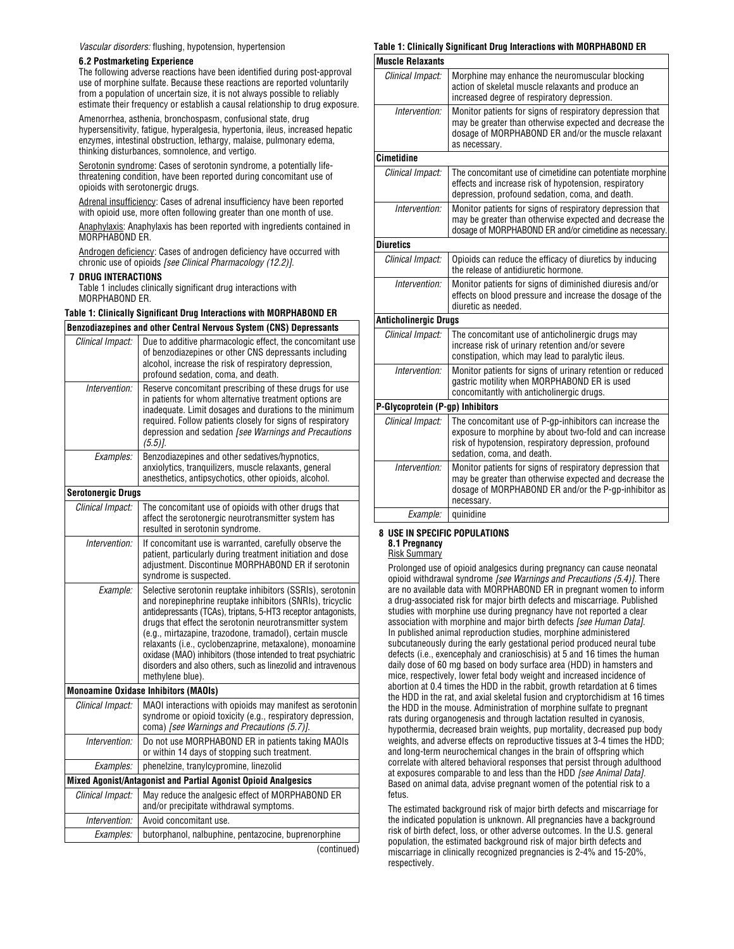#### *Vascular disorders: flushing, hypotension, hypertension*

#### **6.2 Postmarketing Experience**

*The following adverse reactions have been identified during post-approval use of morphine sulfate. Because these reactions are reported voluntarily from a population of uncertain size, it is not always possible to reliably estimate their frequency or establish a causal relationship to drug exposure.* 

*Amenorrhea, asthenia, bronchospasm, confusional state, drug hypersensitivity, fatigue, hyperalgesia, hypertonia, ileus, increased hepatic enzymes, intestinal obstruction, lethargy, malaise, pulmonary edema, thinking disturbances, somnolence, and vertigo.* 

*Serotonin syndrome: Cases of serotonin syndrome, a potentially lifethreatening condition, have been reported during concomitant use of opioids with serotonergic drugs.* 

*Adrenal insufficiency: Cases of adrenal insufficiency have been reported with opioid use, more often following greater than one month of use.* 

*Anaphylaxis: Anaphylaxis has been reported with ingredients contained in MORPHABOND ER.* 

*Androgen deficiency: Cases of androgen deficiency have occurred with chronic use of opioids [see Clinical Pharmacology (12.2)].* 

#### **7 DRUG INTERACTIONS**

*Table 1 includes clinically significant drug interactions with MORPHABOND ER.* 

#### **Table 1: Clinically Significant Drug Interactions with MORPHABOND ER**

 **Benzodiazepines and other Central Nervous System (CNS) Depressants** 

| Clinical Impact:          | Due to additive pharmacologic effect, the concomitant use<br>of benzodiazepines or other CNS depressants including<br>alcohol, increase the risk of respiratory depression,<br>profound sedation, coma, and death.                                                                                                                                                                                                                                                                                                               |  |  |  |  |
|---------------------------|----------------------------------------------------------------------------------------------------------------------------------------------------------------------------------------------------------------------------------------------------------------------------------------------------------------------------------------------------------------------------------------------------------------------------------------------------------------------------------------------------------------------------------|--|--|--|--|
| Intervention:             | Reserve concomitant prescribing of these drugs for use<br>in patients for whom alternative treatment options are<br>inadequate. Limit dosages and durations to the minimum<br>required. Follow patients closely for signs of respiratory<br>depression and sedation [see Warnings and Precautions<br>$(5.5)$ ].                                                                                                                                                                                                                  |  |  |  |  |
| Examples:                 | Benzodiazepines and other sedatives/hypnotics,<br>anxiolytics, tranguilizers, muscle relaxants, general<br>anesthetics, antipsychotics, other opioids, alcohol.                                                                                                                                                                                                                                                                                                                                                                  |  |  |  |  |
| <b>Serotonergic Drugs</b> |                                                                                                                                                                                                                                                                                                                                                                                                                                                                                                                                  |  |  |  |  |
| Clinical Impact:          | The concomitant use of opioids with other drugs that<br>affect the serotonergic neurotransmitter system has<br>resulted in serotonin syndrome.                                                                                                                                                                                                                                                                                                                                                                                   |  |  |  |  |
| Intervention:             | If concomitant use is warranted, carefully observe the<br>patient, particularly during treatment initiation and dose<br>adjustment. Discontinue MORPHABOND ER if serotonin<br>syndrome is suspected.                                                                                                                                                                                                                                                                                                                             |  |  |  |  |
| Example:                  | Selective serotonin reuptake inhibitors (SSRIs), serotonin<br>and norepinephrine reuptake inhibitors (SNRIs), tricyclic<br>antidepressants (TCAs), triptans, 5-HT3 receptor antagonists,<br>drugs that effect the serotonin neurotransmitter system<br>(e.g., mirtazapine, trazodone, tramadol), certain muscle<br>relaxants (i.e., cyclobenzaprine, metaxalone), monoamine<br>oxidase (MAO) inhibitors (those intended to treat psychiatric<br>disorders and also others, such as linezolid and intravenous<br>methylene blue). |  |  |  |  |
|                           | <b>Monoamine Oxidase Inhibitors (MAOIs)</b>                                                                                                                                                                                                                                                                                                                                                                                                                                                                                      |  |  |  |  |
| Clinical Impact:          | MAOI interactions with opioids may manifest as serotonin<br>syndrome or opioid toxicity (e.g., respiratory depression,<br>coma) [see Warnings and Precautions (5.7)].                                                                                                                                                                                                                                                                                                                                                            |  |  |  |  |
| Intervention:             | Do not use MORPHABOND ER in patients taking MAOIs<br>or within 14 days of stopping such treatment.                                                                                                                                                                                                                                                                                                                                                                                                                               |  |  |  |  |
| Examples:                 | phenelzine, tranylcypromine, linezolid                                                                                                                                                                                                                                                                                                                                                                                                                                                                                           |  |  |  |  |
|                           | <b>Mixed Agonist/Antagonist and Partial Agonist Opioid Analgesics</b>                                                                                                                                                                                                                                                                                                                                                                                                                                                            |  |  |  |  |
| Clinical Impact:          | May reduce the analgesic effect of MORPHABOND ER<br>and/or precipitate withdrawal symptoms.                                                                                                                                                                                                                                                                                                                                                                                                                                      |  |  |  |  |
| Intervention:             | Avoid concomitant use.                                                                                                                                                                                                                                                                                                                                                                                                                                                                                                           |  |  |  |  |
| Examples:                 | butorphanol, nalbuphine, pentazocine, buprenorphine                                                                                                                                                                                                                                                                                                                                                                                                                                                                              |  |  |  |  |

*(continued)*

### **Table 1: Clinically Significant Drug Interactions with MORPHABOND ER**

| <b>Muscle Relaxants</b>          |                                                                                                                                                                                                           |  |  |  |  |  |
|----------------------------------|-----------------------------------------------------------------------------------------------------------------------------------------------------------------------------------------------------------|--|--|--|--|--|
| Clinical Impact:                 | Morphine may enhance the neuromuscular blocking<br>action of skeletal muscle relaxants and produce an<br>increased degree of respiratory depression.                                                      |  |  |  |  |  |
| Intervention:                    | Monitor patients for signs of respiratory depression that<br>may be greater than otherwise expected and decrease the<br>dosage of MORPHABOND ER and/or the muscle relaxant<br>as necessary.               |  |  |  |  |  |
| <b>Cimetidine</b>                |                                                                                                                                                                                                           |  |  |  |  |  |
| Clinical Impact:                 | The concomitant use of cimetidine can potentiate morphine<br>effects and increase risk of hypotension, respiratory<br>depression, profound sedation, coma, and death.                                     |  |  |  |  |  |
| Intervention:                    | Monitor patients for signs of respiratory depression that<br>may be greater than otherwise expected and decrease the<br>dosage of MORPHABOND ER and/or cimetidine as necessary.                           |  |  |  |  |  |
| <b>Diuretics</b>                 |                                                                                                                                                                                                           |  |  |  |  |  |
| Clinical Impact:                 | Opioids can reduce the efficacy of diuretics by inducing<br>the release of antidiuretic hormone.                                                                                                          |  |  |  |  |  |
| Intervention:                    | Monitor patients for signs of diminished diuresis and/or<br>effects on blood pressure and increase the dosage of the<br>diuretic as needed.                                                               |  |  |  |  |  |
| <b>Anticholinergic Drugs</b>     |                                                                                                                                                                                                           |  |  |  |  |  |
| Clinical Impact:                 | The concomitant use of anticholinergic drugs may<br>increase risk of urinary retention and/or severe<br>constipation, which may lead to paralytic ileus.                                                  |  |  |  |  |  |
| Intervention:                    | Monitor patients for signs of urinary retention or reduced<br>gastric motility when MORPHABOND ER is used<br>concomitantly with anticholinergic drugs.                                                    |  |  |  |  |  |
| P-Glycoprotein (P-gp) Inhibitors |                                                                                                                                                                                                           |  |  |  |  |  |
| Clinical Impact:                 | The concomitant use of P-qp-inhibitors can increase the<br>exposure to morphine by about two-fold and can increase<br>risk of hypotension, respiratory depression, profound<br>sedation, coma, and death. |  |  |  |  |  |
| Intervention:                    | Monitor patients for signs of respiratory depression that<br>may be greater than otherwise expected and decrease the<br>dosage of MORPHABOND ER and/or the P-gp-inhibitor as<br>necessary.                |  |  |  |  |  |
| Example:                         | quinidine                                                                                                                                                                                                 |  |  |  |  |  |

#### **8 USE IN SPECIFIC POPULATIONS**

**8.1 Pregnancy** 

*Risk Summary*

*Prolonged use of opioid analgesics during pregnancy can cause neonatal opioid withdrawal syndrome [see Warnings and Precautions (5.4)]. There are no available data with MORPHABOND ER in pregnant women to inform a drug-associated risk for major birth defects and miscarriage. Published studies with morphine use during pregnancy have not reported a clear association with morphine and major birth defects [see Human Data]. In published animal reproduction studies, morphine administered subcutaneously during the early gestational period produced neural tube defects (i.e., exencephaly and cranioschisis) at 5 and 16 times the human daily dose of 60 mg based on body surface area (HDD) in hamsters and mice, respectively, lower fetal body weight and increased incidence of abortion at 0.4 times the HDD in the rabbit, growth retardation at 6 times the HDD in the rat, and axial skeletal fusion and cryptorchidism at 16 times the HDD in the mouse. Administration of morphine sulfate to pregnant rats during organogenesis and through lactation resulted in cyanosis, hypothermia, decreased brain weights, pup mortality, decreased pup body weights, and adverse effects on reproductive tissues at 3-4 times the HDD; and long-term neurochemical changes in the brain of offspring which correlate with altered behavioral responses that persist through adulthood at exposures comparable to and less than the HDD [see Animal Data]. Based on animal data, advise pregnant women of the potential risk to a fetus.* 

*The estimated background risk of major birth defects and miscarriage for the indicated population is unknown. All pregnancies have a background risk of birth defect, loss, or other adverse outcomes. In the U.S. general population, the estimated background risk of major birth defects and miscarriage in clinically recognized pregnancies is 2-4% and 15-20%, respectively.*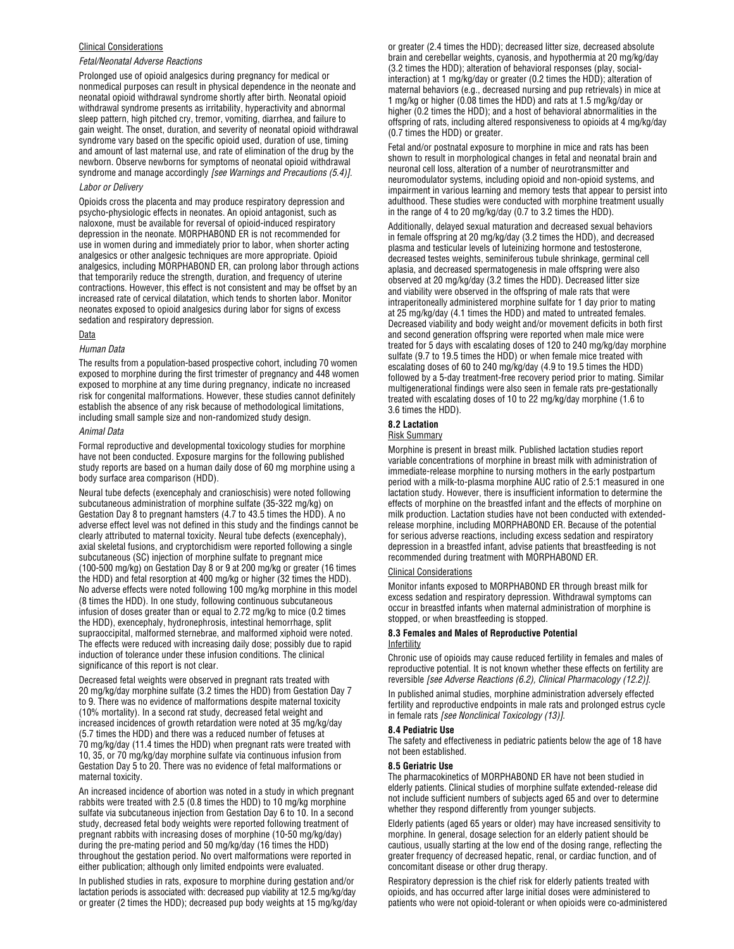#### *Clinical Considerations*

#### *Fetal/Neonatal Adverse Reactions*

*Prolonged use of opioid analgesics during pregnancy for medical or nonmedical purposes can result in physical dependence in the neonate and neonatal opioid withdrawal syndrome shortly after birth. Neonatal opioid withdrawal syndrome presents as irritability, hyperactivity and abnormal sleep pattern, high pitched cry, tremor, vomiting, diarrhea, and failure to gain weight. The onset, duration, and severity of neonatal opioid withdrawal syndrome vary based on the specific opioid used, duration of use, timing and amount of last maternal use, and rate of elimination of the drug by the newborn. Observe newborns for symptoms of neonatal opioid withdrawal syndrome and manage accordingly [see Warnings and Precautions (5.4)].* 

#### *Labor or Delivery*

*Opioids cross the placenta and may produce respiratory depression and psycho-physiologic effects in neonates. An opioid antagonist, such as naloxone, must be available for reversal of opioid-induced respiratory depression in the neonate. MORPHABOND ER is not recommended for use in women during and immediately prior to labor, when shorter acting analgesics or other analgesic techniques are more appropriate. Opioid analgesics, including MORPHABOND ER, can prolong labor through actions that temporarily reduce the strength, duration, and frequency of uterine contractions. However, this effect is not consistent and may be offset by an increased rate of cervical dilatation, which tends to shorten labor. Monitor neonates exposed to opioid analgesics during labor for signs of excess sedation and respiratory depression.* 

#### *Data*

#### *Human Data*

*The results from a population-based prospective cohort, including 70 women*  exposed to morphine during the first trimester of pregnancy and 448 women *exposed to morphine at any time during pregnancy, indicate no increased risk for congenital malformations. However, these studies cannot definitely establish the absence of any risk because of methodological limitations, including small sample size and non-randomized study design.* 

#### *Animal Data*

*Formal reproductive and developmental toxicology studies for morphine have not been conducted. Exposure margins for the following published study reports are based on a human daily dose of 60 mg morphine using a body surface area comparison (HDD).* 

*Neural tube defects (exencephaly and cranioschisis) were noted following subcutaneous administration of morphine sulfate (35-322 mg/kg) on Gestation Day 8 to pregnant hamsters (4.7 to 43.5 times the HDD). A no adverse effect level was not defined in this study and the findings cannot be clearly attributed to maternal toxicity. Neural tube defects (exencephaly), axial skeletal fusions, and cryptorchidism were reported following a single subcutaneous (SC) injection of morphine sulfate to pregnant mice (100-500 mg/kg) on Gestation Day 8 or 9 at 200 mg/kg or greater (16 times the HDD) and fetal resorption at 400 mg/kg or higher (32 times the HDD). No adverse effects were noted following 100 mg/kg morphine in this model (8 times the HDD). In one study, following continuous subcutaneous infusion of doses greater than or equal to 2.72 mg/kg to mice (0.2 times the HDD), exencephaly, hydronephrosis, intestinal hemorrhage, split supraoccipital, malformed sternebrae, and malformed xiphoid were noted. The effects were reduced with increasing daily dose; possibly due to rapid induction of tolerance under these infusion conditions. The clinical significance of this report is not clear.* 

*Decreased fetal weights were observed in pregnant rats treated with 20 mg/kg/day morphine sulfate (3.2 times the HDD) from Gestation Day 7 to 9. There was no evidence of malformations despite maternal toxicity (10% mortality). In a second rat study, decreased fetal weight and increased incidences of growth retardation were noted at 35 mg/kg/day (5.7 times the HDD) and there was a reduced number of fetuses at 70 mg/kg/day (11.4 times the HDD) when pregnant rats were treated with 10, 35, or 70 mg/kg/day morphine sulfate via continuous infusion from Gestation Day 5 to 20. There was no evidence of fetal malformations or maternal toxicity.* 

*An increased incidence of abortion was noted in a study in which pregnant rabbits were treated with 2.5 (0.8 times the HDD) to 10 mg/kg morphine sulfate via subcutaneous injection from Gestation Day 6 to 10. In a second study, decreased fetal body weights were reported following treatment of pregnant rabbits with increasing doses of morphine (10-50 mg/kg/day) during the pre-mating period and 50 mg/kg/day (16 times the HDD) throughout the gestation period. No overt malformations were reported in either publication; although only limited endpoints were evaluated.* 

*In published studies in rats, exposure to morphine during gestation and/or lactation periods is associated with: decreased pup viability at 12.5 mg/kg/day or greater (2 times the HDD); decreased pup body weights at 15 mg/kg/day* 

*or greater (2.4 times the HDD); decreased litter size, decreased absolute brain and cerebellar weights, cyanosis, and hypothermia at 20 mg/kg/day (3.2 times the HDD); alteration of behavioral responses (play, social*interaction) at 1 mg/kg/day or greater (0.2 times the HDD); alteration of *maternal behaviors (e.g., decreased nursing and pup retrievals) in mice at 1 mg/kg or higher (0.08 times the HDD) and rats at 1.5 mg/kg/day or higher (0.2 times the HDD); and a host of behavioral abnormalities in the offspring of rats, including altered responsiveness to opioids at 4 mg/kg/day (0.7 times the HDD) or greater.* 

*Fetal and/or postnatal exposure to morphine in mice and rats has been shown to result in morphological changes in fetal and neonatal brain and neuronal cell loss, alteration of a number of neurotransmitter and neuromodulator systems, including opioid and non-opioid systems, and impairment in various learning and memory tests that appear to persist into adulthood. These studies were conducted with morphine treatment usually in the range of 4 to 20 mg/kg/day (0.7 to 3.2 times the HDD).* 

*Additionally, delayed sexual maturation and decreased sexual behaviors in female offspring at 20 mg/kg/day (3.2 times the HDD), and decreased plasma and testicular levels of luteinizing hormone and testosterone, decreased testes weights, seminiferous tubule shrinkage, germinal cell aplasia, and decreased spermatogenesis in male offspring were also observed at 20 mg/kg/day (3.2 times the HDD). Decreased litter size and viability were observed in the offspring of male rats that were intraperitoneally administered morphine sulfate for 1 day prior to mating at 25 mg/kg/day (4.1 times the HDD) and mated to untreated females. Decreased viability and body weight and/or movement deficits in both first and second generation offspring were reported when male mice were treated for 5 days with escalating doses of 120 to 240 mg/kg/day morphine sulfate (9.7 to 19.5 times the HDD) or when female mice treated with escalating doses of 60 to 240 mg/kg/day (4.9 to 19.5 times the HDD) followed by a 5-day treatment-free recovery period prior to mating. Similar multigenerational findings were also seen in female rats pre-gestationally treated with escalating doses of 10 to 22 mg/kg/day morphine (1.6 to 3.6 times the HDD).* 

#### **8.2 Lactation**

#### *Risk Summary*

*Morphine is present in breast milk. Published lactation studies report*  variable concentrations of morphine in breast milk with administration of *immediate-release morphine to nursing mothers in the early postpartum period with a milk-to-plasma morphine AUC ratio of 2.5:1 measured in one*  lactation study. However, there is insufficient information to determine the *effects of morphine on the breastfed infant and the effects of morphine on milk production. Lactation studies have not been conducted with extended*release morphine, including MORPHABOND ER. Because of the potential *for serious adverse reactions, including excess sedation and respiratory depression in a breastfed infant, advise patients that breastfeeding is not recommended during treatment with MORPHABOND ER.* 

#### *Clinical Considerations*

*Monitor infants exposed to MORPHABOND ER through breast milk for excess sedation and respiratory depression. Withdrawal symptoms can occur in breastfed infants when maternal administration of morphine is stopped, or when breastfeeding is stopped.* 

#### **8.3 Females and Males of Reproductive Potential**  *Infertility*

*Chronic use of opioids may cause reduced fertility in females and males of reproductive potential. It is not known whether these effects on fertility are reversible [see Adverse Reactions (6.2), Clinical Pharmacology (12.2)].* 

*In published animal studies, morphine administration adversely effected fertility and reproductive endpoints in male rats and prolonged estrus cycle in female rats [see Nonclinical Toxicology (13)].* 

#### **8.4 Pediatric Use**

*The safety and effectiveness in pediatric patients below the age of 18 have not been established.* 

#### **8.5 Geriatric Use**

*The pharmacokinetics of MORPHABOND ER have not been studied in elderly patients. Clinical studies of morphine sulfate extended-release did not include sufficient numbers of subjects aged 65 and over to determine whether they respond differently from younger subjects.* 

*Elderly patients (aged 65 years or older) may have increased sensitivity to morphine. In general, dosage selection for an elderly patient should be cautious, usually starting at the low end of the dosing range, reflecting the greater frequency of decreased hepatic, renal, or cardiac function, and of concomitant disease or other drug therapy.* 

*Respiratory depression is the chief risk for elderly patients treated with opioids, and has occurred after large initial doses were administered to patients who were not opioid-tolerant or when opioids were co-administered*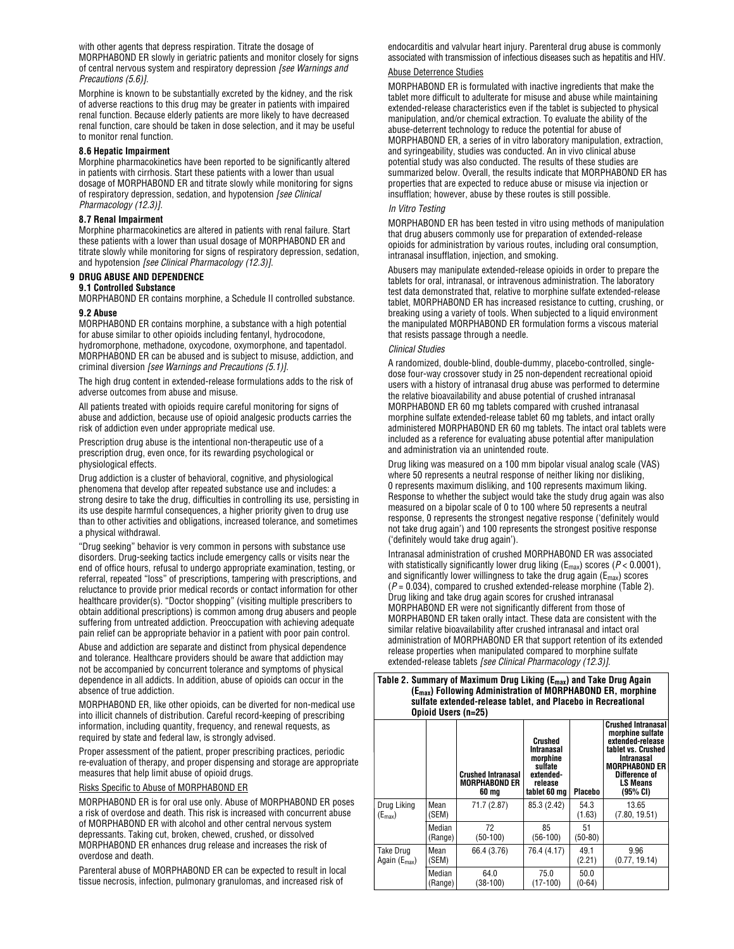*with other agents that depress respiration. Titrate the dosage of MORPHABOND ER slowly in geriatric patients and monitor closely for signs of central nervous system and respiratory depression [see Warnings and Precautions (5.6)].* 

*Morphine is known to be substantially excreted by the kidney, and the risk of adverse reactions to this drug may be greater in patients with impaired renal function. Because elderly patients are more likely to have decreased renal function, care should be taken in dose selection, and it may be useful to monitor renal function.* 

#### **8.6 Hepatic Impairment**

*Morphine pharmacokinetics have been reported to be significantly altered*  in patients with cirrhosis. Start these patients with a lower than usual *dosage of MORPHABOND ER and titrate slowly while monitoring for signs of respiratory depression, sedation, and hypotension [see Clinical Pharmacology (12.3)].* 

#### **8.7 Renal Impairment**

*Morphine pharmacokinetics are altered in patients with renal failure. Start these patients with a lower than usual dosage of MORPHABOND ER and titrate slowly while monitoring for signs of respiratory depression, sedation, and hypotension [see Clinical Pharmacology (12.3)].* 

#### **9 DRUG ABUSE AND DEPENDENCE**

#### **9.1 Controlled Substance**

*MORPHABOND ER contains morphine, a Schedule II controlled substance.*  **9.2 Abuse** 

*MORPHABOND ER contains morphine, a substance with a high potential for abuse similar to other opioids including fentanyl, hydrocodone, hydromorphone, methadone, oxycodone, oxymorphone, and tapentadol. MORPHABOND ER can be abused and is subject to misuse, addiction, and criminal diversion [see Warnings and Precautions (5.1)].* 

*The high drug content in extended-release formulations adds to the risk of adverse outcomes from abuse and misuse.* 

*All patients treated with opioids require careful monitoring for signs of abuse and addiction, because use of opioid analgesic products carries the risk of addiction even under appropriate medical use.* 

*Prescription drug abuse is the intentional non-therapeutic use of a prescription drug, even once, for its rewarding psychological or physiological effects.* 

*Drug addiction is a cluster of behavioral, cognitive, and physiological phenomena that develop after repeated substance use and includes: a strong desire to take the drug, difficulties in controlling its use, persisting in its use despite harmful consequences, a higher priority given to drug use than to other activities and obligations, increased tolerance, and sometimes a physical withdrawal.* 

*"Drug seeking" behavior is very common in persons with substance use disorders. Drug-seeking tactics include emergency calls or visits near the end of office hours, refusal to undergo appropriate examination, testing, or referral, repeated "loss" of prescriptions, tampering with prescriptions, and reluctance to provide prior medical records or contact information for other healthcare provider(s). "Doctor shopping" (visiting multiple prescribers to obtain additional prescriptions) is common among drug abusers and people suffering from untreated addiction. Preoccupation with achieving adequate pain relief can be appropriate behavior in a patient with poor pain control.* 

*Abuse and addiction are separate and distinct from physical dependence and tolerance. Healthcare providers should be aware that addiction may not be accompanied by concurrent tolerance and symptoms of physical dependence in all addicts. In addition, abuse of opioids can occur in the absence of true addiction.* 

*MORPHABOND ER, like other opioids, can be diverted for non-medical use into illicit channels of distribution. Careful record-keeping of prescribing information, including quantity, frequency, and renewal requests, as required by state and federal law, is strongly advised.* 

*Proper assessment of the patient, proper prescribing practices, periodic re-evaluation of therapy, and proper dispensing and storage are appropriate measures that help limit abuse of opioid drugs.* 

#### *Risks Specific to Abuse of MORPHABOND ER*

*MORPHABOND ER is for oral use only. Abuse of MORPHABOND ER poses a risk of overdose and death. This risk is increased with concurrent abuse of MORPHABOND ER with alcohol and other central nervous system depressants. Taking cut, broken, chewed, crushed, or dissolved MORPHABOND ER enhances drug release and increases the risk of overdose and death.* 

*Parenteral abuse of MORPHABOND ER can be expected to result in local tissue necrosis, infection, pulmonary granulomas, and increased risk of* 

*endocarditis and valvular heart injury. Parenteral drug abuse is commonly associated with transmission of infectious diseases such as hepatitis and HIV.* 

### *Abuse Deterrence Studies*

*MORPHABOND ER is formulated with inactive ingredients that make the tablet more difficult to adulterate for misuse and abuse while maintaining*  extended-release characteristics even if the tablet is subjected to physical *manipulation, and/or chemical extraction. To evaluate the ability of the abuse-deterrent technology to reduce the potential for abuse of MORPHABOND ER, a series of in vitro laboratory manipulation, extraction, and syringeability, studies was conducted. An in vivo clinical abuse potential study was also conducted. The results of these studies are summarized below. Overall, the results indicate that MORPHABOND ER has properties that are expected to reduce abuse or misuse via injection or insufflation; however, abuse by these routes is still possible.* 

#### *In Vitro Testing*

*MORPHABOND ER has been tested in vitro using methods of manipulation that drug abusers commonly use for preparation of extended-release opioids for administration by various routes, including oral consumption, intranasal insufflation, injection, and smoking.* 

*Abusers may manipulate extended-release opioids in order to prepare the tablets for oral, intranasal, or intravenous administration. The laboratory test data demonstrated that, relative to morphine sulfate extended-release tablet, MORPHABOND ER has increased resistance to cutting, crushing, or breaking using a variety of tools. When subjected to a liquid environment the manipulated MORPHABOND ER formulation forms a viscous material that resists passage through a needle.* 

#### *Clinical Studies*

*A randomized, double-blind, double-dummy, placebo-controlled, singledose four-way crossover study in 25 non-dependent recreational opioid users with a history of intranasal drug abuse was performed to determine the relative bioavailability and abuse potential of crushed intranasal MORPHABOND ER 60 mg tablets compared with crushed intranasal morphine sulfate extended-release tablet 60 mg tablets, and intact orally administered MORPHABOND ER 60 mg tablets. The intact oral tablets were included as a reference for evaluating abuse potential after manipulation and administration via an unintended route.* 

*Drug liking was measured on a 100 mm bipolar visual analog scale (VAS) where 50 represents a neutral response of neither liking nor disliking, 0 represents maximum disliking, and 100 represents maximum liking. Response to whether the subject would take the study drug again was also measured on a bipolar scale of 0 to 100 where 50 represents a neutral response, 0 represents the strongest negative response ('definitely would not take drug again') and 100 represents the strongest positive response ('definitely would take drug again').* 

*Intranasal administration of crushed MORPHABOND ER was associated*  with statistically significantly lower drug liking ( $E_{max}$ ) scores ( $P < 0.0001$ ), *and significantly lower willingness to take the drug again (Emax) scores*   $(P = 0.034)$ , compared to crushed extended-release morphine (Table 2). *Drug liking and take drug again scores for crushed intranasal MORPHABOND ER were not significantly different from those of MORPHABOND ER taken orally intact. These data are consistent with the similar relative bioavailability after crushed intranasal and intact oral administration of MORPHABOND ER that support retention of its extended release properties when manipulated compared to morphine sulfate extended-release tablets [see Clinical Pharmacology (12.3)].* 

**Table 2. Summary of Maximum Drug Liking (Emax) and Take Drug Again (Emax) Following Administration of MORPHABOND ER, morphine sulfate extended-release tablet, and Placebo in Recreational Opioid Users (n=25)**

|                                              |                   | <b>Crushed Intranasal</b><br><b>MORPHABOND ER</b><br>60 mg | Crushed<br>Intranasal<br>morphine<br>sulfate<br>extended-<br>release<br>tablet 60 mg | <b>Placebo</b>   | <b>Crushed Intranasal</b><br>morphine sulfate<br>extended-release<br>tablet vs. Crushed<br><b>Intranasal</b><br><b>MORPHABOND ER</b><br><b>Difference of</b><br><b>LS Means</b><br>(95% CI) |
|----------------------------------------------|-------------------|------------------------------------------------------------|--------------------------------------------------------------------------------------|------------------|---------------------------------------------------------------------------------------------------------------------------------------------------------------------------------------------|
| Drug Liking<br>$(E_{\text{max}})$            | Mean<br>(SEM)     | 71.7 (2.87)                                                | 85.3 (2.42)                                                                          | 54.3<br>(1.63)   | 13.65<br>(7.80, 19.51)                                                                                                                                                                      |
|                                              | Median<br>(Range) | 72<br>(50-100)                                             | 85<br>(56-100)                                                                       | 51<br>(50-80)    |                                                                                                                                                                                             |
| <b>Take Drug</b><br>Again $(E_{\text{max}})$ | Mean<br>(SEM)     | 66.4 (3.76)                                                | 76.4 (4.17)                                                                          | 49.1<br>(2.21)   | 9.96<br>(0.77, 19.14)                                                                                                                                                                       |
|                                              | Median<br>(Range) | 64.0<br>(38-100)                                           | 75.0<br>$(17-100)$                                                                   | 50.0<br>$(0-64)$ |                                                                                                                                                                                             |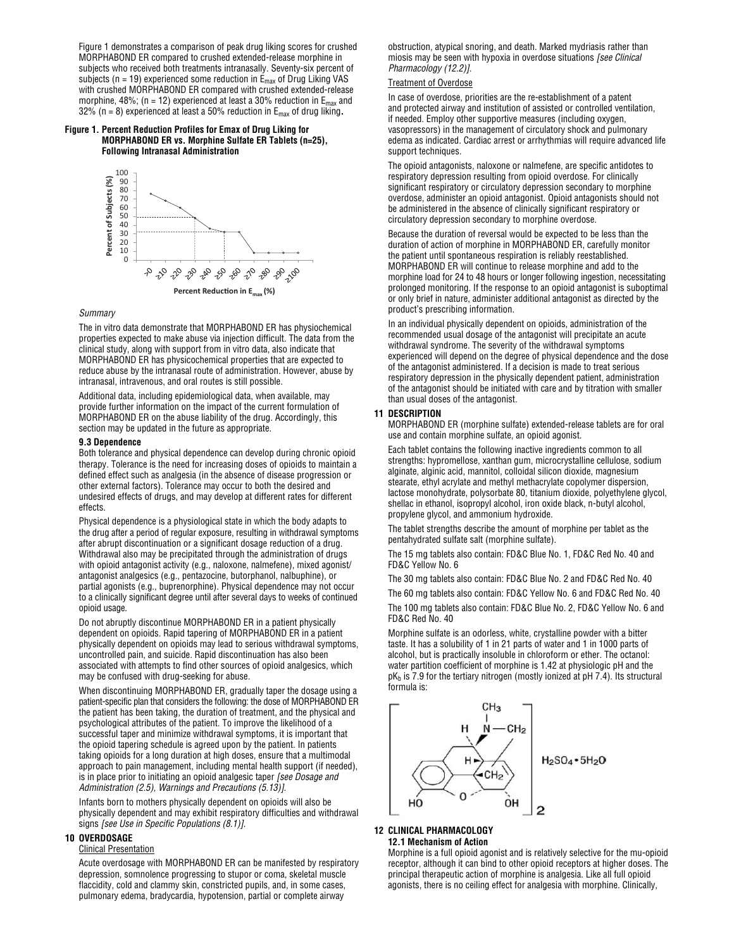*Figure 1 demonstrates a comparison of peak drug liking scores for crushed MORPHABOND ER compared to crushed extended-release morphine in subjects who received both treatments intranasally. Seventy-six percent of subjects (n = 19) experienced some reduction in Emax of Drug Liking VAS with crushed MORPHABOND ER compared with crushed extended-release morphine, 48%; (n = 12) experienced at least a 30% reduction in Emax and 32% (n = 8) experienced at least a 50% reduction in Emax of drug liking***.**

#### **Figure 1. Percent Reduction Profiles for Emax of Drug Liking for MORPHABOND ER vs. Morphine Sulfate ER Tablets (n=25), Following Intranasal Administration**



#### *Summary*

*The in vitro data demonstrate that MORPHABOND ER has physiochemical properties expected to make abuse via injection difficult. The data from the clinical study, along with support from in vitro data, also indicate that MORPHABOND ER has physicochemical properties that are expected to reduce abuse by the intranasal route of administration. However, abuse by intranasal, intravenous, and oral routes is still possible.* 

*Additional data, including epidemiological data, when available, may provide further information on the impact of the current formulation of MORPHABOND ER on the abuse liability of the drug. Accordingly, this section may be updated in the future as appropriate.* 

#### **9.3 Dependence**

*Both tolerance and physical dependence can develop during chronic opioid therapy. Tolerance is the need for increasing doses of opioids to maintain a defined effect such as analgesia (in the absence of disease progression or other external factors). Tolerance may occur to both the desired and undesired effects of drugs, and may develop at different rates for different effects.* 

*Physical dependence is a physiological state in which the body adapts to the drug after a period of regular exposure, resulting in withdrawal symptoms after abrupt discontinuation or a significant dosage reduction of a drug. Withdrawal also may be precipitated through the administration of drugs with opioid antagonist activity (e.g., naloxone, nalmefene), mixed agonist/ antagonist analgesics (e.g., pentazocine, butorphanol, nalbuphine), or partial agonists (e.g., buprenorphine). Physical dependence may not occur to a clinically significant degree until after several days to weeks of continued opioid usage.* 

*Do not abruptly discontinue MORPHABOND ER in a patient physically dependent on opioids. Rapid tapering of MORPHABOND ER in a patient physically dependent on opioids may lead to serious withdrawal symptoms, uncontrolled pain, and suicide. Rapid discontinuation has also been associated with attempts to find other sources of opioid analgesics, which may be confused with drug-seeking for abuse.* 

*When discontinuing MORPHABOND ER, gradually taper the dosage using a patient-specific plan that considers the following: the dose of MORPHABOND ER the patient has been taking, the duration of treatment, and the physical and psychological attributes of the patient. To improve the likelihood of a successful taper and minimize withdrawal symptoms, it is important that the opioid tapering schedule is agreed upon by the patient. In patients taking opioids for a long duration at high doses, ensure that a multimodal approach to pain management, including mental health support (if needed), is in place prior to initiating an opioid analgesic taper [see Dosage and Administration (2.5), Warnings and Precautions (5.13)].* 

*Infants born to mothers physically dependent on opioids will also be physically dependent and may exhibit respiratory difficulties and withdrawal signs [see Use in Specific Populations (8.1)].* 

### **10 OVERDOSAGE**

#### *Clinical Presentation*

*Acute overdosage with MORPHABOND ER can be manifested by respiratory depression, somnolence progressing to stupor or coma, skeletal muscle flaccidity, cold and clammy skin, constricted pupils, and, in some cases, pulmonary edema, bradycardia, hypotension, partial or complete airway* 

*obstruction, atypical snoring, and death. Marked mydriasis rather than miosis may be seen with hypoxia in overdose situations [see Clinical Pharmacology (12.2)].* 

#### *Treatment of Overdose*

*In case of overdose, priorities are the re-establishment of a patent and protected airway and institution of assisted or controlled ventilation, if needed. Employ other supportive measures (including oxygen, vasopressors) in the management of circulatory shock and pulmonary edema as indicated. Cardiac arrest or arrhythmias will require advanced life support techniques.* 

*The opioid antagonists, naloxone or nalmefene, are specific antidotes to respiratory depression resulting from opioid overdose. For clinically significant respiratory or circulatory depression secondary to morphine overdose, administer an opioid antagonist. Opioid antagonists should not be administered in the absence of clinically significant respiratory or circulatory depression secondary to morphine overdose.* 

*Because the duration of reversal would be expected to be less than the duration of action of morphine in MORPHABOND ER, carefully monitor the patient until spontaneous respiration is reliably reestablished. MORPHABOND ER will continue to release morphine and add to the morphine load for 24 to 48 hours or longer following ingestion, necessitating prolonged monitoring. If the response to an opioid antagonist is suboptimal or only brief in nature, administer additional antagonist as directed by the product's prescribing information.* 

*In an individual physically dependent on opioids, administration of the recommended usual dosage of the antagonist will precipitate an acute withdrawal syndrome. The severity of the withdrawal symptoms experienced will depend on the degree of physical dependence and the dose of the antagonist administered. If a decision is made to treat serious respiratory depression in the physically dependent patient, administration of the antagonist should be initiated with care and by titration with smaller than usual doses of the antagonist.* 

#### **11 DESCRIPTION**

*MORPHABOND ER (morphine sulfate) extended-release tablets are for oral use and contain morphine sulfate, an opioid agonist.* 

*Each tablet contains the following inactive ingredients common to all strengths: hypromellose, xanthan gum, microcrystalline cellulose, sodium alginate, alginic acid, mannitol, colloidal silicon dioxide, magnesium stearate, ethyl acrylate and methyl methacrylate copolymer dispersion, lactose monohydrate, polysorbate 80, titanium dioxide, polyethylene glycol, shellac in ethanol, isopropyl alcohol, iron oxide black, n-butyl alcohol, propylene glycol, and ammonium hydroxide.* 

*The tablet strengths describe the amount of morphine per tablet as the pentahydrated sulfate salt (morphine sulfate).* 

*The 15 mg tablets also contain: FD&C Blue No. 1, FD&C Red No. 40 and FD&C Yellow No. 6* 

*The 30 mg tablets also contain: FD&C Blue No. 2 and FD&C Red No. 40* 

*The 60 mg tablets also contain: FD&C Yellow No. 6 and FD&C Red No. 40* 

*The 100 mg tablets also contain: FD&C Blue No. 2, FD&C Yellow No. 6 and FD&C Red No. 40* 

*Morphine sulfate is an odorless, white, crystalline powder with a bitter taste. It has a solubility of 1 in 21 parts of water and 1 in 1000 parts of alcohol, but is practically insoluble in chloroform or ether. The octanol: water partition coefficient of morphine is 1.42 at physiologic pH and the pKb is 7.9 for the tertiary nitrogen (mostly ionized at pH 7.4). Its structural formula is:* 



#### **12 CLINICAL PHARMACOLOGY 12.1 Mechanism of Action**

*Morphine is a full opioid agonist and is relatively selective for the mu-opioid*  receptor, although it can bind to other opioid receptors at higher doses. The *principal therapeutic action of morphine is analgesia. Like all full opioid agonists, there is no ceiling effect for analgesia with morphine. Clinically,*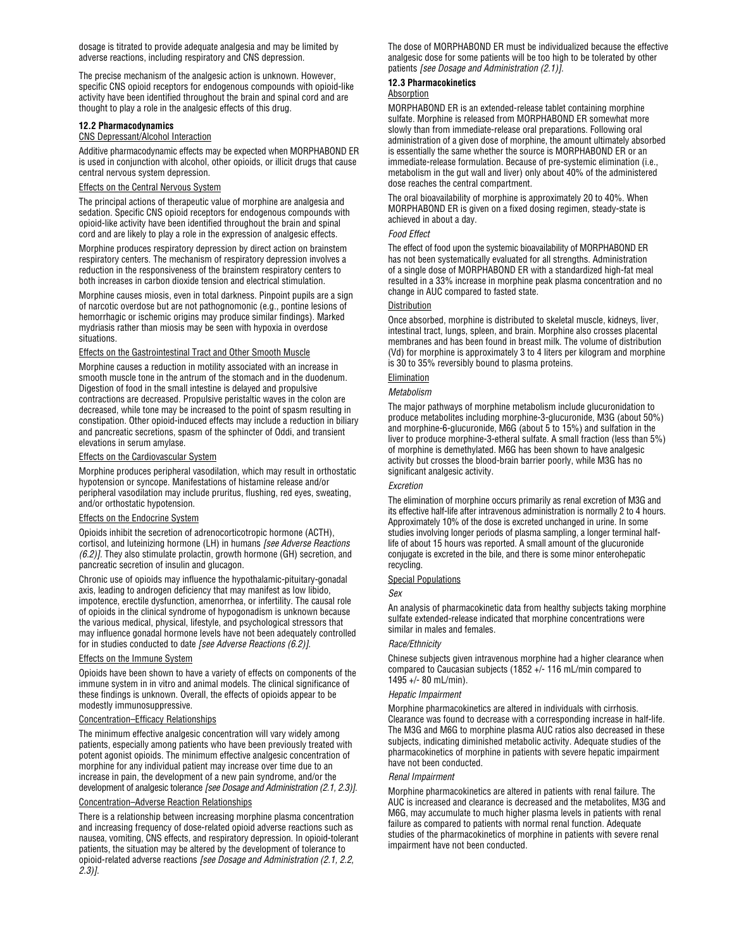*dosage is titrated to provide adequate analgesia and may be limited by adverse reactions, including respiratory and CNS depression.* 

*The precise mechanism of the analgesic action is unknown. However, specific CNS opioid receptors for endogenous compounds with opioid-like activity have been identified throughout the brain and spinal cord and are thought to play a role in the analgesic effects of this drug.* 

#### **12.2 Pharmacodynamics**

#### *CNS Depressant/Alcohol Interaction*

*Additive pharmacodynamic effects may be expected when MORPHABOND ER is used in conjunction with alcohol, other opioids, or illicit drugs that cause central nervous system depression.* 

#### *Effects on the Central Nervous System*

*The principal actions of therapeutic value of morphine are analgesia and sedation. Specific CNS opioid receptors for endogenous compounds with opioid-like activity have been identified throughout the brain and spinal cord and are likely to play a role in the expression of analgesic effects.* 

*Morphine produces respiratory depression by direct action on brainstem respiratory centers. The mechanism of respiratory depression involves a reduction in the responsiveness of the brainstem respiratory centers to both increases in carbon dioxide tension and electrical stimulation.* 

*Morphine causes miosis, even in total darkness. Pinpoint pupils are a sign of narcotic overdose but are not pathognomonic (e.g., pontine lesions of hemorrhagic or ischemic origins may produce similar findings). Marked mydriasis rather than miosis may be seen with hypoxia in overdose situations.* 

#### *Effects on the Gastrointestinal Tract and Other Smooth Muscle*

*Morphine causes a reduction in motility associated with an increase in smooth muscle tone in the antrum of the stomach and in the duodenum. Digestion of food in the small intestine is delayed and propulsive contractions are decreased. Propulsive peristaltic waves in the colon are decreased, while tone may be increased to the point of spasm resulting in constipation. Other opioid-induced effects may include a reduction in biliary and pancreatic secretions, spasm of the sphincter of Oddi, and transient elevations in serum amylase.* 

#### *Effects on the Cardiovascular System*

*Morphine produces peripheral vasodilation, which may result in orthostatic hypotension or syncope. Manifestations of histamine release and/or peripheral vasodilation may include pruritus, flushing, red eyes, sweating, and/or orthostatic hypotension.* 

#### *Effects on the Endocrine System*

*Opioids inhibit the secretion of adrenocorticotropic hormone (ACTH), cortisol, and luteinizing hormone (LH) in humans [see Adverse Reactions (6.2)]. They also stimulate prolactin, growth hormone (GH) secretion, and pancreatic secretion of insulin and glucagon.* 

*Chronic use of opioids may influence the hypothalamic-pituitary-gonadal axis, leading to androgen deficiency that may manifest as low libido, impotence, erectile dysfunction, amenorrhea, or infertility. The causal role of opioids in the clinical syndrome of hypogonadism is unknown because the various medical, physical, lifestyle, and psychological stressors that may influence gonadal hormone levels have not been adequately controlled for in studies conducted to date [see Adverse Reactions (6.2)].* 

#### *Effects on the Immune System*

*Opioids have been shown to have a variety of effects on components of the immune system in in vitro and animal models. The clinical significance of these findings is unknown. Overall, the effects of opioids appear to be modestly immunosuppressive.* 

#### *Concentration–Efficacy Relationships*

*The minimum effective analgesic concentration will vary widely among patients, especially among patients who have been previously treated with potent agonist opioids. The minimum effective analgesic concentration of morphine for any individual patient may increase over time due to an increase in pain, the development of a new pain syndrome, and/or the development of analgesic tolerance [see Dosage and Administration (2.1, 2.3)].* 

#### *Concentration–Adverse Reaction Relationships*

*There is a relationship between increasing morphine plasma concentration and increasing frequency of dose-related opioid adverse reactions such as nausea, vomiting, CNS effects, and respiratory depression. In opioid-tolerant patients, the situation may be altered by the development of tolerance to opioid-related adverse reactions [see Dosage and Administration (2.1, 2.2, 2.3)].* 

*The dose of MORPHABOND ER must be individualized because the effective analgesic dose for some patients will be too high to be tolerated by other patients [see Dosage and Administration (2.1)].* 

### **12.3 Pharmacokinetics**

### *Absorption*

*MORPHABOND ER is an extended-release tablet containing morphine sulfate. Morphine is released from MORPHABOND ER somewhat more slowly than from immediate-release oral preparations. Following oral administration of a given dose of morphine, the amount ultimately absorbed is essentially the same whether the source is MORPHABOND ER or an immediate-release formulation. Because of pre-systemic elimination (i.e., metabolism in the gut wall and liver) only about 40% of the administered dose reaches the central compartment.* 

*The oral bioavailability of morphine is approximately 20 to 40%. When MORPHABOND ER is given on a fixed dosing regimen, steady-state is achieved in about a day.* 

#### *Food Effect*

*The effect of food upon the systemic bioavailability of MORPHABOND ER has not been systematically evaluated for all strengths. Administration of a single dose of MORPHABOND ER with a standardized high-fat meal resulted in a 33% increase in morphine peak plasma concentration and no change in AUC compared to fasted state.* 

#### *Distribution*

*Once absorbed, morphine is distributed to skeletal muscle, kidneys, liver,*  intestinal tract, lungs, spleen, and brain. Morphine also crosses placental *membranes and has been found in breast milk. The volume of distribution (Vd) for morphine is approximately 3 to 4 liters per kilogram and morphine is 30 to 35% reversibly bound to plasma proteins.* 

#### *Elimination*

#### *Metabolism*

*The major pathways of morphine metabolism include glucuronidation to produce metabolites including morphine-3-glucuronide, M3G (about 50%) and morphine-6 -glucuronide, M6G (about 5 to 15%) and sulfation in the liver to produce morphine-3 -etheral sulfate. A small fraction (less than 5%) of morphine is demethylated. M6G has been shown to have analgesic activity but crosses the blood-brain barrier poorly, while M3G has no significant analgesic activity.* 

#### *Excretion*

*The elimination of morphine occurs primarily as renal excretion of M3G and its effective half-life after intravenous administration is normally 2 to 4 hours. Approximately 10% of the dose is excreted unchanged in urine. In some studies involving longer periods of plasma sampling, a longer terminal halflife of about 15 hours was reported. A small amount of the glucuronide conjugate is excreted in the bile, and there is some minor enterohepatic recycling.* 

#### *Special Populations*

#### *Sex*

*An analysis of pharmacokinetic data from healthy subjects taking morphine sulfate extended-release indicated that morphine concentrations were similar in males and females.* 

#### *Race/Ethnicity*

*Chinese subjects given intravenous morphine had a higher clearance when compared to Caucasian subjects (1852 +/- 116 mL/min compared to 1495 +/- 80 mL/min).* 

#### *Hepatic Impairment*

*Morphine pharmacokinetics are altered in individuals with cirrhosis. Clearance was found to decrease with a corresponding increase in half-life. The M3G and M6G to morphine plasma AUC ratios also decreased in these subjects, indicating diminished metabolic activity. Adequate studies of the pharmacokinetics of morphine in patients with severe hepatic impairment have not been conducted.* 

#### *Renal Impairment*

*Morphine pharmacokinetics are altered in patients with renal failure. The AUC is increased and clearance is decreased and the metabolites, M3G and M6G, may accumulate to much higher plasma levels in patients with renal failure as compared to patients with normal renal function. Adequate studies of the pharmacokinetics of morphine in patients with severe renal impairment have not been conducted.*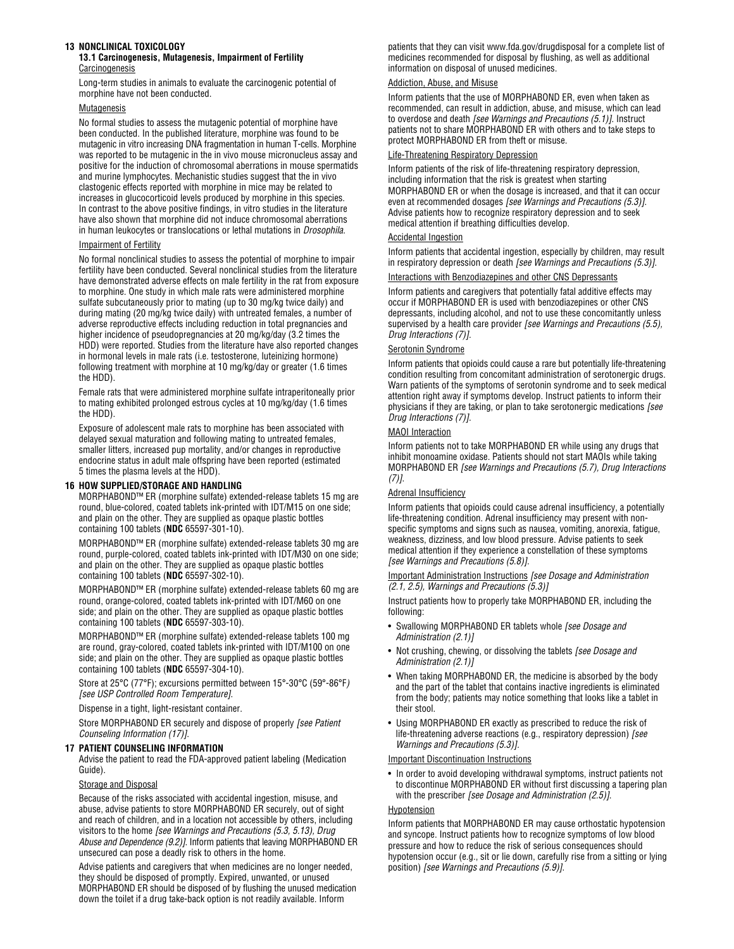#### **13 NONCLINICAL TOXICOLOGY**

#### **13.1 Carcinogenesis, Mutagenesis, Impairment of Fertility**  *Carcinogenesis*

*Long-term studies in animals to evaluate the carcinogenic potential of morphine have not been conducted.* 

#### *Mutagenesis*

*No formal studies to assess the mutagenic potential of morphine have been conducted. In the published literature, morphine was found to be mutagenic in vitro increasing DNA fragmentation in human T-cells. Morphine was reported to be mutagenic in the in vivo mouse micronucleus assay and positive for the induction of chromosomal aberrations in mouse spermatids and murine lymphocytes. Mechanistic studies suggest that the in vivo clastogenic effects reported with morphine in mice may be related to increases in glucocorticoid levels produced by morphine in this species. In contrast to the above positive findings, in vitro studies in the literature have also shown that morphine did not induce chromosomal aberrations in human leukocytes or translocations or lethal mutations in <i>Drosophila*.

#### *Impairment of Fertility*

*No formal nonclinical studies to assess the potential of morphine to impair*  fertility have been conducted. Several nonclinical studies from the literature *have demonstrated adverse effects on male fertility in the rat from exposure to morphine. One study in which male rats were administered morphine sulfate subcutaneously prior to mating (up to 30 mg/kg twice daily) and during mating (20 mg/kg twice daily) with untreated females, a number of adverse reproductive effects including reduction in total pregnancies and higher incidence of pseudopregnancies at 20 mg/kg/day (3.2 times the HDD) were reported. Studies from the literature have also reported changes in hormonal levels in male rats (i.e. testosterone, luteinizing hormone) following treatment with morphine at 10 mg/kg/day or greater (1.6 times the HDD).* 

*Female rats that were administered morphine sulfate intraperitoneally prior to mating exhibited prolonged estrous cycles at 10 mg/kg/day (1.6 times the HDD).* 

*Exposure of adolescent male rats to morphine has been associated with delayed sexual maturation and following mating to untreated females, smaller litters, increased pup mortality, and/or changes in reproductive endocrine status in adult male offspring have been reported (estimated 5 times the plasma levels at the HDD).* 

#### **16 HOW SUPPLIED/STORAGE AND HANDLING**

*MORPHABOND™ ER (morphine sulfate) extended-release tablets 15 mg are round, blue-colored, coated tablets ink-printed with IDT/M15 on one side; and plain on the other. They are supplied as opaque plastic bottles containing 100 tablets (***NDC** *65597-301-10).* 

*MORPHABOND™ ER (morphine sulfate) extended-release tablets 30 mg are round, purple-colored, coated tablets ink-printed with IDT/M30 on one side; and plain on the other. They are supplied as opaque plastic bottles containing 100 tablets (***NDC** *65597-302-10).* 

*MORPHABOND™ ER (morphine sulfate) extended-release tablets 60 mg are round, orange-colored, coated tablets ink-printed with IDT/M60 on one side; and plain on the other. They are supplied as opaque plastic bottles containing 100 tablets (***NDC** *65597-303-10).* 

*MORPHABOND™ ER (morphine sulfate) extended-release tablets 100 mg are round, gray-colored, coated tablets ink-printed with IDT/M100 on one side; and plain on the other. They are supplied as opaque plastic bottles containing 100 tablets (***NDC** *65597-304-10).* 

*Store at 25°C (77°F); excursions permitted between 15°-30°C (59°-86°F) [see USP Controlled Room Temperature].* 

*Dispense in a tight, light-resistant container.* 

*Store MORPHABOND ER securely and dispose of properly [see Patient Counseling Information (17)].* 

#### **17 PATIENT COUNSELING INFORMATION**

*Advise the patient to read the FDA-approved patient labeling (Medication Guide).* 

#### *Storage and Disposal*

*Because of the risks associated with accidental ingestion, misuse, and abuse, advise patients to store MORPHABOND ER securely, out of sight and reach of children, and in a location not accessible by others, including visitors to the home [see Warnings and Precautions (5.3, 5.13), Drug Abuse and Dependence (9.2)]. Inform patients that leaving MORPHABOND ER unsecured can pose a deadly risk to others in the home.* 

*Advise patients and caregivers that when medicines are no longer needed, they should be disposed of promptly. Expired, unwanted, or unused MORPHABOND ER should be disposed of by flushing the unused medication down the toilet if a drug take-back option is not readily available. Inform* 

*patients that they can visit www.fda.gov/drugdisposal for a complete list of medicines recommended for disposal by flushing, as well as additional information on disposal of unused medicines.* 

#### *Addiction, Abuse, and Misuse*

*Inform patients that the use of MORPHABOND ER, even when taken as recommended, can result in addiction, abuse, and misuse, which can lead to overdose and death [see Warnings and Precautions (5.1)]. Instruct patients not to share MORPHABOND ER with others and to take steps to protect MORPHABOND ER from theft or misuse.* 

#### *Life-Threatening Respiratory Depression*

*Inform patients of the risk of life-threatening respiratory depression, including information that the risk is greatest when starting MORPHABOND ER or when the dosage is increased, and that it can occur even at recommended dosages [see Warnings and Precautions (5.3)]. Advise patients how to recognize respiratory depression and to seek medical attention if breathing difficulties develop.* 

#### *Accidental Ingestion*

*Inform patients that accidental ingestion, especially by children, may result in respiratory depression or death [see Warnings and Precautions (5.3)].* 

#### *Interactions with Benzodiazepines and other CNS Depressants*

*Inform patients and caregivers that potentially fatal additive effects may occur if MORPHABOND ER is used with benzodiazepines or other CNS depressants, including alcohol, and not to use these concomitantly unless supervised by a health care provider [see Warnings and Precautions (5.5), Drug Interactions (7)].* 

#### *Serotonin Syndrome*

*Inform patients that opioids could cause a rare but potentially life-threatening condition resulting from concomitant administration of serotonergic drugs. Warn patients of the symptoms of serotonin syndrome and to seek medical attention right away if symptoms develop. Instruct patients to inform their physicians if they are taking, or plan to take serotonergic medications [see Drug Interactions (7)].* 

#### *MAOI Interaction*

*Inform patients not to take MORPHABOND ER while using any drugs that*  inhibit monoamine oxidase. Patients should not start MAOIs while taking *MORPHABOND ER [see Warnings and Precautions (5.7), Drug Interactions (7)].* 

#### *Adrenal Insufficiency*

*Inform patients that opioids could cause adrenal insufficiency, a potentially life-threatening condition. Adrenal insufficiency may present with nonspecific symptoms and signs such as nausea, vomiting, anorexia, fatigue, weakness, dizziness, and low blood pressure. Advise patients to seek medical attention if they experience a constellation of these symptoms [see Warnings and Precautions (5.8)].* 

*Important Administration Instructions [see Dosage and Administration (2.1, 2.5), Warnings and Precautions (5.3)]*

*Instruct patients how to properly take MORPHABOND ER, including the following:* 

- *Swallowing MORPHABOND ER tablets whole [see Dosage and Administration (2.1)]*
- Not crushing, chewing, or dissolving the tablets *[see Dosage and Administration (2.1)]*
- *When taking MORPHABOND ER, the medicine is absorbed by the body and the part of the tablet that contains inactive ingredients is eliminated from the body; patients may notice something that looks like a tablet in their stool.*
- *Using MORPHABOND ER exactly as prescribed to reduce the risk of life-threatening adverse reactions (e.g., respiratory depression) [see Warnings and Precautions (5.3)].*

#### *Important Discontinuation Instructions*

*• In order to avoid developing withdrawal symptoms, instruct patients not to discontinue MORPHABOND ER without first discussing a tapering plan with the prescriber [see Dosage and Administration (2.5)].* 

#### *Hypotension*

*Inform patients that MORPHABOND ER may cause orthostatic hypotension and syncope. Instruct patients how to recognize symptoms of low blood pressure and how to reduce the risk of serious consequences should hypotension occur (e.g., sit or lie down, carefully rise from a sitting or lying position) [see Warnings and Precautions (5.9)].*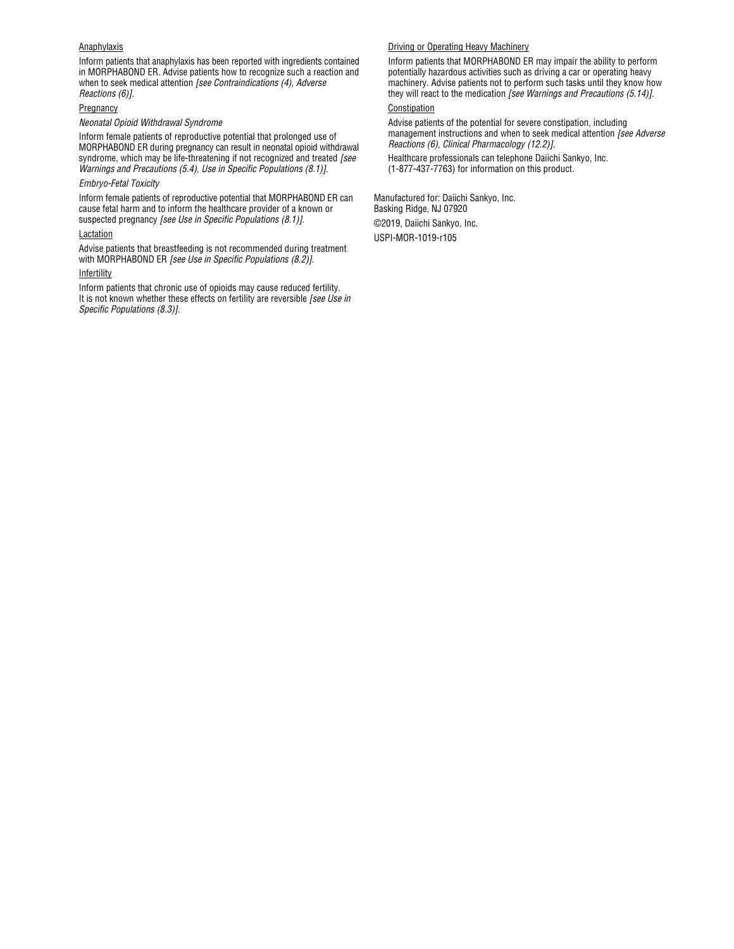#### *Anaphylaxis*

*Inform patients that anaphylaxis has been reported with ingredients contained in MORPHABOND ER. Advise patients how to recognize such a reaction and when to seek medical attention [see Contraindications (4), Adverse Reactions (6)].* 

#### *Pregnancy*

#### *Neonatal Opioid Withdrawal Syndrome*

*Inform female patients of reproductive potential that prolonged use of MORPHABOND ER during pregnancy can result in neonatal opioid withdrawal*  syndrome, which may be life-threatening if not recognized and treated *[see Warnings and Precautions (5.4), Use in Specific Populations (8.1)].* 

#### *Embryo-Fetal Toxicity*

*Inform female patients of reproductive potential that MORPHABOND ER can cause fetal harm and to inform the healthcare provider of a known or suspected pregnancy [see Use in Specific Populations (8.1)].* 

#### *Lactation*

*Advise patients that breastfeeding is not recommended during treatment with MORPHABOND ER [see Use in Specific Populations (8.2)].* 

#### *Infertility*

*Inform patients that chronic use of opioids may cause reduced fertility. It is not known whether these effects on fertility are reversible [see Use in Specific Populations (8.3)].* 

#### *Driving or Operating Heavy Machinery*

*Inform patients that MORPHABOND ER may impair the ability to perform potentially hazardous activities such as driving a car or operating heavy machinery. Advise patients not to perform such tasks until they know how they will react to the medication [see Warnings and Precautions (5.14)].* 

### *Constipation*

*Advise patients of the potential for severe constipation, including management instructions and when to seek medical attention [see Adverse Reactions (6), Clinical Pharmacology (12.2)].* 

*Healthcare professionals can telephone Daiichi Sankyo, Inc. (1-877-437-7763) for information on this product.* 

*Manufactured for: Daiichi Sankyo, Inc. Basking Ridge, NJ 07920 ©2019, Daiichi Sankyo, Inc. USPI-MOR-1019-r105*